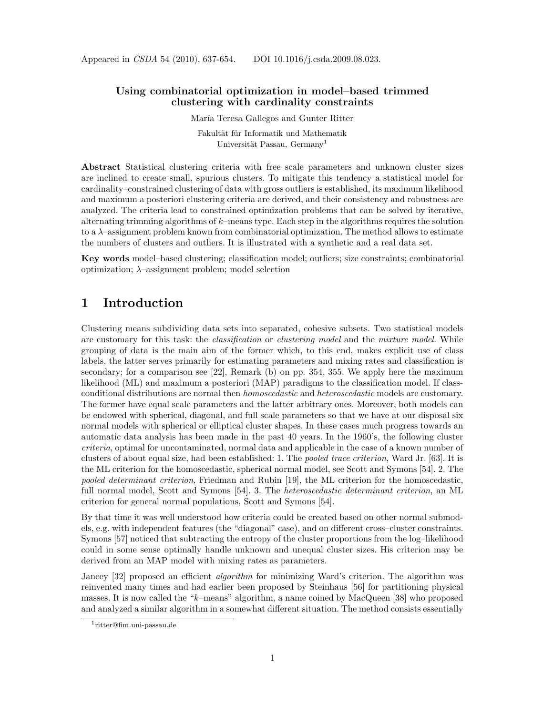Appeared in CSDA 54 (2010), 637-654. DOI 10.1016/j.csda.2009.08.023.

## Using combinatorial optimization in model–based trimmed clustering with cardinality constraints

María Teresa Gallegos and Gunter Ritter

Fakultät für Informatik und Mathematik Universität Passau, Germany<sup>1</sup>

Abstract Statistical clustering criteria with free scale parameters and unknown cluster sizes are inclined to create small, spurious clusters. To mitigate this tendency a statistical model for cardinality–constrained clustering of data with gross outliers is established, its maximum likelihood and maximum a posteriori clustering criteria are derived, and their consistency and robustness are analyzed. The criteria lead to constrained optimization problems that can be solved by iterative, alternating trimming algorithms of k–means type. Each step in the algorithms requires the solution to a  $\lambda$ -assignment problem known from combinatorial optimization. The method allows to estimate the numbers of clusters and outliers. It is illustrated with a synthetic and a real data set.

Key words model–based clustering; classification model; outliers; size constraints; combinatorial optimization;  $\lambda$ -assignment problem; model selection

## 1 Introduction

Clustering means subdividing data sets into separated, cohesive subsets. Two statistical models are customary for this task: the *classification* or *clustering model* and the *mixture model*. While grouping of data is the main aim of the former which, to this end, makes explicit use of class labels, the latter serves primarily for estimating parameters and mixing rates and classification is secondary; for a comparison see [22], Remark (b) on pp. 354, 355. We apply here the maximum likelihood (ML) and maximum a posteriori (MAP) paradigms to the classification model. If classconditional distributions are normal then homoscedastic and heteroscedastic models are customary. The former have equal scale parameters and the latter arbitrary ones. Moreover, both models can be endowed with spherical, diagonal, and full scale parameters so that we have at our disposal six normal models with spherical or elliptical cluster shapes. In these cases much progress towards an automatic data analysis has been made in the past 40 years. In the 1960's, the following cluster criteria, optimal for uncontaminated, normal data and applicable in the case of a known number of clusters of about equal size, had been established: 1. The pooled trace criterion, Ward Jr. [63]. It is the ML criterion for the homoscedastic, spherical normal model, see Scott and Symons [54]. 2. The pooled determinant criterion, Friedman and Rubin [19], the ML criterion for the homoscedastic, full normal model, Scott and Symons [54]. 3. The *heteroscedastic determinant criterion*, an ML criterion for general normal populations, Scott and Symons [54].

By that time it was well understood how criteria could be created based on other normal submodels, e.g. with independent features (the "diagonal" case), and on different cross–cluster constraints. Symons [57] noticed that subtracting the entropy of the cluster proportions from the log–likelihood could in some sense optimally handle unknown and unequal cluster sizes. His criterion may be derived from an MAP model with mixing rates as parameters.

Jancey [32] proposed an efficient *algorithm* for minimizing Ward's criterion. The algorithm was reinvented many times and had earlier been proposed by Steinhaus [56] for partitioning physical masses. It is now called the "k–means" algorithm, a name coined by MacQueen [38] who proposed and analyzed a similar algorithm in a somewhat different situation. The method consists essentially

<sup>1</sup> ritter@fim.uni-passau.de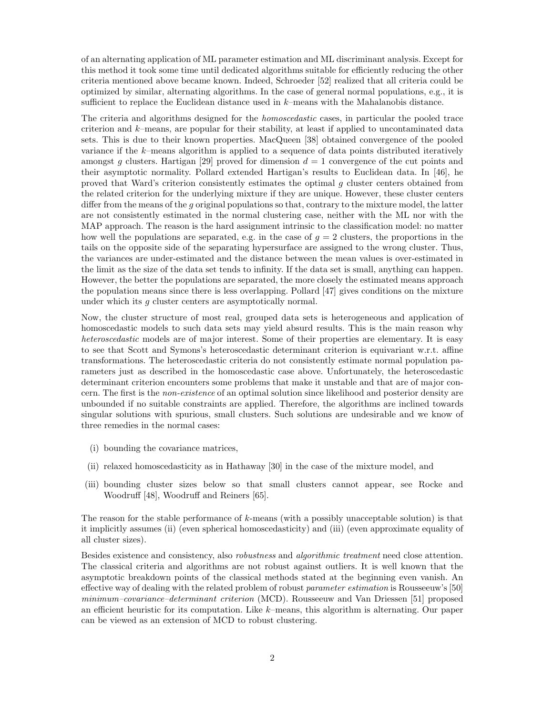of an alternating application of ML parameter estimation and ML discriminant analysis. Except for this method it took some time until dedicated algorithms suitable for efficiently reducing the other criteria mentioned above became known. Indeed, Schroeder [52] realized that all criteria could be optimized by similar, alternating algorithms. In the case of general normal populations, e.g., it is sufficient to replace the Euclidean distance used in k–means with the Mahalanobis distance.

The criteria and algorithms designed for the homoscedastic cases, in particular the pooled trace criterion and k–means, are popular for their stability, at least if applied to uncontaminated data sets. This is due to their known properties. MacQueen [38] obtained convergence of the pooled variance if the k–means algorithm is applied to a sequence of data points distributed iteratively amongst g clusters. Hartigan [29] proved for dimension  $d = 1$  convergence of the cut points and their asymptotic normality. Pollard extended Hartigan's results to Euclidean data. In [46], he proved that Ward's criterion consistently estimates the optimal g cluster centers obtained from the related criterion for the underlying mixture if they are unique. However, these cluster centers differ from the means of the g original populations so that, contrary to the mixture model, the latter are not consistently estimated in the normal clustering case, neither with the ML nor with the MAP approach. The reason is the hard assignment intrinsic to the classification model: no matter how well the populations are separated, e.g. in the case of  $g = 2$  clusters, the proportions in the tails on the opposite side of the separating hypersurface are assigned to the wrong cluster. Thus, the variances are under-estimated and the distance between the mean values is over-estimated in the limit as the size of the data set tends to infinity. If the data set is small, anything can happen. However, the better the populations are separated, the more closely the estimated means approach the population means since there is less overlapping. Pollard [47] gives conditions on the mixture under which its  $g$  cluster centers are asymptotically normal.

Now, the cluster structure of most real, grouped data sets is heterogeneous and application of homoscedastic models to such data sets may yield absurd results. This is the main reason why heteroscedastic models are of major interest. Some of their properties are elementary. It is easy to see that Scott and Symons's heteroscedastic determinant criterion is equivariant w.r.t. affine transformations. The heteroscedastic criteria do not consistently estimate normal population parameters just as described in the homoscedastic case above. Unfortunately, the heteroscedastic determinant criterion encounters some problems that make it unstable and that are of major concern. The first is the non-existence of an optimal solution since likelihood and posterior density are unbounded if no suitable constraints are applied. Therefore, the algorithms are inclined towards singular solutions with spurious, small clusters. Such solutions are undesirable and we know of three remedies in the normal cases:

- (i) bounding the covariance matrices,
- (ii) relaxed homoscedasticity as in Hathaway [30] in the case of the mixture model, and
- (iii) bounding cluster sizes below so that small clusters cannot appear, see Rocke and Woodruff [48], Woodruff and Reiners [65].

The reason for the stable performance of k-means (with a possibly unacceptable solution) is that it implicitly assumes (ii) (even spherical homoscedasticity) and (iii) (even approximate equality of all cluster sizes).

Besides existence and consistency, also *robustness* and *algorithmic treatment* need close attention. The classical criteria and algorithms are not robust against outliers. It is well known that the asymptotic breakdown points of the classical methods stated at the beginning even vanish. An effective way of dealing with the related problem of robust *parameter estimation* is Rousseeuw's [50] minimum–covariance–determinant criterion (MCD). Rousseeuw and Van Driessen [51] proposed an efficient heuristic for its computation. Like  $k$ –means, this algorithm is alternating. Our paper can be viewed as an extension of MCD to robust clustering.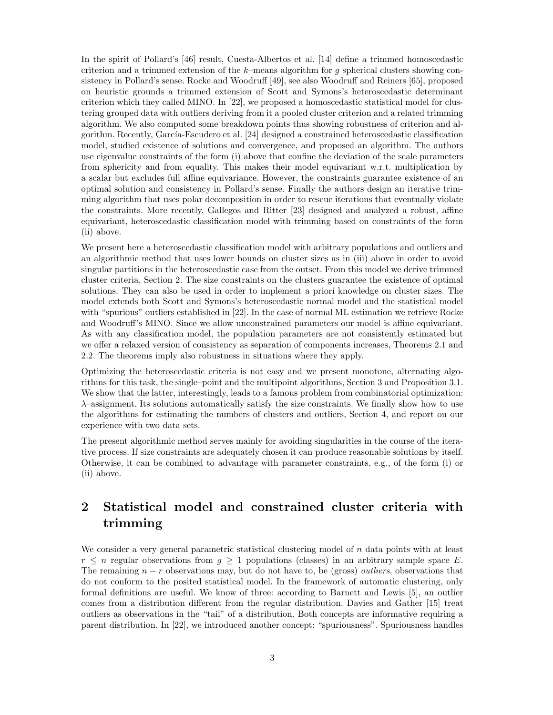In the spirit of Pollard's [46] result, Cuesta-Albertos et al. [14] define a trimmed homoscedastic criterion and a trimmed extension of the  $k$ –means algorithm for g spherical clusters showing consistency in Pollard's sense. Rocke and Woodruff [49], see also Woodruff and Reiners [65], proposed on heuristic grounds a trimmed extension of Scott and Symons's heteroscedastic determinant criterion which they called MINO. In [22], we proposed a homoscedastic statistical model for clustering grouped data with outliers deriving from it a pooled cluster criterion and a related trimming algorithm. We also computed some breakdown points thus showing robustness of criterion and algorithm. Recently, García-Escudero et al. [24] designed a constrained heteroscedastic classification model, studied existence of solutions and convergence, and proposed an algorithm. The authors use eigenvalue constraints of the form (i) above that confine the deviation of the scale parameters from sphericity and from equality. This makes their model equivariant w.r.t. multiplication by a scalar but excludes full affine equivariance. However, the constraints guarantee existence of an optimal solution and consistency in Pollard's sense. Finally the authors design an iterative trimming algorithm that uses polar decomposition in order to rescue iterations that eventually violate the constraints. More recently, Gallegos and Ritter [23] designed and analyzed a robust, affine equivariant, heteroscedastic classification model with trimming based on constraints of the form (ii) above.

We present here a heteroscedastic classification model with arbitrary populations and outliers and an algorithmic method that uses lower bounds on cluster sizes as in (iii) above in order to avoid singular partitions in the heteroscedastic case from the outset. From this model we derive trimmed cluster criteria, Section 2. The size constraints on the clusters guarantee the existence of optimal solutions. They can also be used in order to implement a priori knowledge on cluster sizes. The model extends both Scott and Symons's heteroscedastic normal model and the statistical model with "spurious" outliers established in [22]. In the case of normal ML estimation we retrieve Rocke and Woodruff's MINO. Since we allow unconstrained parameters our model is affine equivariant. As with any classification model, the population parameters are not consistently estimated but we offer a relaxed version of consistency as separation of components increases, Theorems 2.1 and 2.2. The theorems imply also robustness in situations where they apply.

Optimizing the heteroscedastic criteria is not easy and we present monotone, alternating algorithms for this task, the single–point and the multipoint algorithms, Section 3 and Proposition 3.1. We show that the latter, interestingly, leads to a famous problem from combinatorial optimization:  $\lambda$ –assignment. Its solutions automatically satisfy the size constraints. We finally show how to use the algorithms for estimating the numbers of clusters and outliers, Section 4, and report on our experience with two data sets.

The present algorithmic method serves mainly for avoiding singularities in the course of the iterative process. If size constraints are adequately chosen it can produce reasonable solutions by itself. Otherwise, it can be combined to advantage with parameter constraints, e.g., of the form (i) or (ii) above.

# 2 Statistical model and constrained cluster criteria with trimming

We consider a very general parametric statistical clustering model of n data points with at least  $r \leq n$  regular observations from  $g \geq 1$  populations (classes) in an arbitrary sample space E. The remaining  $n - r$  observations may, but do not have to, be (gross) *outliers*, observations that do not conform to the posited statistical model. In the framework of automatic clustering, only formal definitions are useful. We know of three: according to Barnett and Lewis [5], an outlier comes from a distribution different from the regular distribution. Davies and Gather [15] treat outliers as observations in the "tail" of a distribution. Both concepts are informative requiring a parent distribution. In [22], we introduced another concept: "spuriousness". Spuriousness handles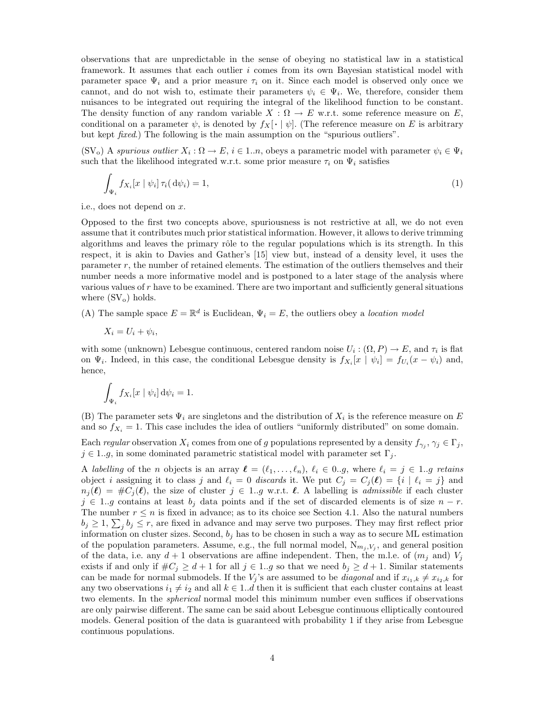observations that are unpredictable in the sense of obeying no statistical law in a statistical framework. It assumes that each outlier i comes from its own Bayesian statistical model with parameter space  $\Psi_i$  and a prior measure  $\tau_i$  on it. Since each model is observed only once we cannot, and do not wish to, estimate their parameters  $\psi_i \in \Psi_i$ . We, therefore, consider them nuisances to be integrated out requiring the integral of the likelihood function to be constant. The density function of any random variable  $X : \Omega \to E$  w.r.t. some reference measure on E, conditional on a parameter  $\psi$ , is denoted by  $f_X[\cdot | \psi]$ . (The reference measure on E is arbitrary but kept fixed.) The following is the main assumption on the "spurious outliers".

 $(SV_0)$  A spurious outlier  $X_i: \Omega \to E$ ,  $i \in 1..n$ , obeys a parametric model with parameter  $\psi_i \in \Psi_i$ such that the likelihood integrated w.r.t. some prior measure  $\tau_i$  on  $\Psi_i$  satisfies

$$
\int_{\Psi_i} f_{X_i}[x \mid \psi_i] \,\tau_i(\,\mathrm{d}\psi_i) = 1,\tag{1}
$$

i.e., does not depend on x.

Opposed to the first two concepts above, spuriousness is not restrictive at all, we do not even assume that it contributes much prior statistical information. However, it allows to derive trimming algorithms and leaves the primary rôle to the regular populations which is its strength. In this respect, it is akin to Davies and Gather's [15] view but, instead of a density level, it uses the parameter r, the number of retained elements. The estimation of the outliers themselves and their number needs a more informative model and is postponed to a later stage of the analysis where various values of  $r$  have to be examined. There are two important and sufficiently general situations where  $(SV_0)$  holds.

(A) The sample space  $E = \mathbb{R}^d$  is Euclidean,  $\Psi_i = E$ , the outliers obey a location model

$$
X_i = U_i + \psi_i,
$$

with some (unknown) Lebesgue continuous, centered random noise  $U_i : (\Omega, P) \to E$ , and  $\tau_i$  is flat on  $\Psi_i$ . Indeed, in this case, the conditional Lebesgue density is  $f_{X_i}[x \mid \psi_i] = f_{U_i}(x - \psi_i)$  and, hence,

$$
\int_{\Psi_i} f_{X_i}[x \mid \psi_i] \, \mathrm{d}\psi_i = 1.
$$

(B) The parameter sets  $\Psi_i$  are singletons and the distribution of  $X_i$  is the reference measure on E and so  $f_{X_i} = 1$ . This case includes the idea of outliers "uniformly distributed" on some domain.

Each regular observation  $X_i$  comes from one of g populations represented by a density  $f_{\gamma_j}, \gamma_j \in \Gamma_j$ ,  $j \in 1..g$ , in some dominated parametric statistical model with parameter set  $\Gamma_j$ .

A labelling of the n objects is an array  $\ell = (\ell_1, \ldots, \ell_n), \ell_i \in 0..g$ , where  $\ell_i = j \in 1..g$  retains object i assigning it to class j and  $\ell_i = 0$  discards it. We put  $C_i = C_i(\ell) = \{i \mid \ell_i = j\}$  and  $n_j(\ell) = \#C_j(\ell)$ , the size of cluster  $j \in 1..g$  w.r.t.  $\ell$ . A labelling is *admissible* if each cluster  $j \in 1..g$  contains at least  $b_j$  data points and if the set of discarded elements is of size  $n-r$ . The number  $r \leq n$  is fixed in advance; as to its choice see Section 4.1. Also the natural numbers  $b_j \geq 1$ ,  $\sum_j b_j \leq r$ , are fixed in advance and may serve two purposes. They may first reflect prior information on cluster sizes. Second,  $b_j$  has to be chosen in such a way as to secure ML estimation of the population parameters. Assume, e.g., the full normal model,  $N_{m_j, V_j}$ , and general position of the data, i.e. any  $d+1$  observations are affine independent. Then, the m.l.e. of  $(m_j \text{ and } V_j)$ exists if and only if  $\#C_j \geq d+1$  for all  $j \in 1..g$  so that we need  $b_j \geq d+1$ . Similar statements can be made for normal submodels. If the  $V_i$ 's are assumed to be *diagonal* and if  $x_{i_1,k} \neq x_{i_2,k}$  for any two observations  $i_1 \neq i_2$  and all  $k \in 1..d$  then it is sufficient that each cluster contains at least two elements. In the spherical normal model this minimum number even suffices if observations are only pairwise different. The same can be said about Lebesgue continuous elliptically contoured models. General position of the data is guaranteed with probability 1 if they arise from Lebesgue continuous populations.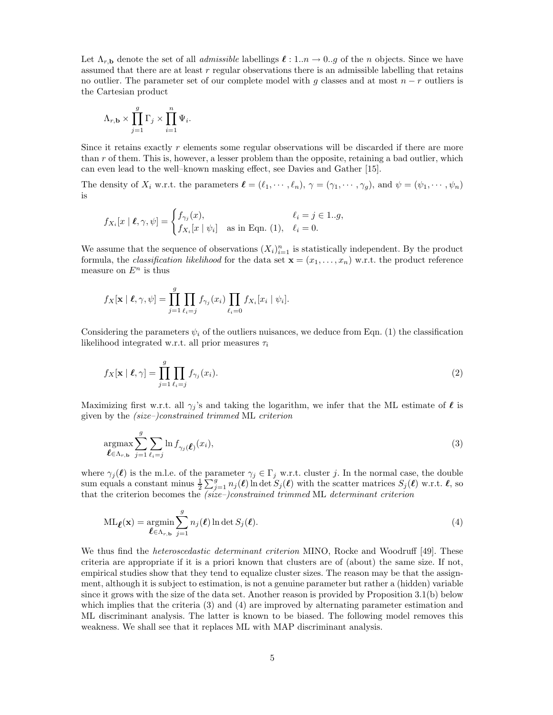Let  $\Lambda_{r,\mathbf{b}}$  denote the set of all *admissible* labellings  $\ell : 1..n \to 0..g$  of the n objects. Since we have assumed that there are at least  $r$  regular observations there is an admissible labelling that retains no outlier. The parameter set of our complete model with g classes and at most  $n - r$  outliers is the Cartesian product

$$
\Lambda_{r,\mathbf{b}} \times \prod_{j=1}^g \Gamma_j \times \prod_{i=1}^n \Psi_i.
$$

Since it retains exactly r elements some regular observations will be discarded if there are more than  $r$  of them. This is, however, a lesser problem than the opposite, retaining a bad outlier, which can even lead to the well–known masking effect, see Davies and Gather [15].

The density of  $X_i$  w.r.t. the parameters  $\boldsymbol{\ell} = (\ell_1, \dots, \ell_n), \gamma = (\gamma_1, \dots, \gamma_q)$ , and  $\psi = (\psi_1, \dots, \psi_n)$ is

$$
f_{X_i}[x \mid \boldsymbol{\ell}, \gamma, \psi] = \begin{cases} f_{\gamma_j}(x), & \ell_i = j \in 1..g, \\ f_{X_i}[x \mid \psi_i] & \text{as in Eqn. (1)}, \quad \ell_i = 0. \end{cases}
$$

We assume that the sequence of observations  $(X_i)_{i=1}^n$  is statistically independent. By the product formula, the *classification likelihood* for the data set  $\mathbf{x} = (x_1, \ldots, x_n)$  w.r.t. the product reference measure on  $E^n$  is thus

$$
f_X[\mathbf{x} \mid \boldsymbol{\ell}, \gamma, \psi] = \prod_{j=1}^g \prod_{\ell_i = j} f_{\gamma_j}(x_i) \prod_{\ell_i = 0} f_{X_i}[x_i \mid \psi_i].
$$

Considering the parameters  $\psi_i$  of the outliers nuisances, we deduce from Eqn. (1) the classification likelihood integrated w.r.t. all prior measures  $\tau_i$ 

$$
f_X[\mathbf{x} \mid \boldsymbol{\ell}, \gamma] = \prod_{j=1}^g \prod_{\ell_i = j} f_{\gamma_j}(x_i). \tag{2}
$$

Maximizing first w.r.t. all  $\gamma_j$ 's and taking the logarithm, we infer that the ML estimate of  $\ell$  is given by the (size–)constrained trimmed ML criterion

$$
\underset{\boldsymbol{\ell} \in \Lambda_{r,\mathbf{b}}}{\operatorname{argmax}} \sum_{j=1}^{g} \sum_{\ell_i=j} \ln f_{\gamma_j}(\boldsymbol{\ell}) (x_i),\tag{3}
$$

where  $\gamma_j(\ell)$  is the m.l.e. of the parameter  $\gamma_j \in \Gamma_j$  w.r.t. cluster j. In the normal case, the double sum equals a constant minus  $\frac{1}{2}\sum_{j=1}^g n_j(\ell)$  ln det  $S_j(\ell)$  with the scatter matrices  $S_j(\ell)$  w.r.t.  $\ell$ , so that the criterion becomes the  $(size-) constrained$  trimmed ML determinant criterion

$$
ML_{\ell}(\mathbf{x}) = \underset{\ell \in \Lambda_{r,\mathbf{b}}}{\operatorname{argmin}} \sum_{j=1}^{g} n_j(\ell) \ln \det S_j(\ell).
$$
\n(4)

We thus find the *heteroscedastic determinant criterion* MINO, Rocke and Woodruff [49]. These criteria are appropriate if it is a priori known that clusters are of (about) the same size. If not, empirical studies show that they tend to equalize cluster sizes. The reason may be that the assignment, although it is subject to estimation, is not a genuine parameter but rather a (hidden) variable since it grows with the size of the data set. Another reason is provided by Proposition 3.1(b) below which implies that the criteria (3) and (4) are improved by alternating parameter estimation and ML discriminant analysis. The latter is known to be biased. The following model removes this weakness. We shall see that it replaces ML with MAP discriminant analysis.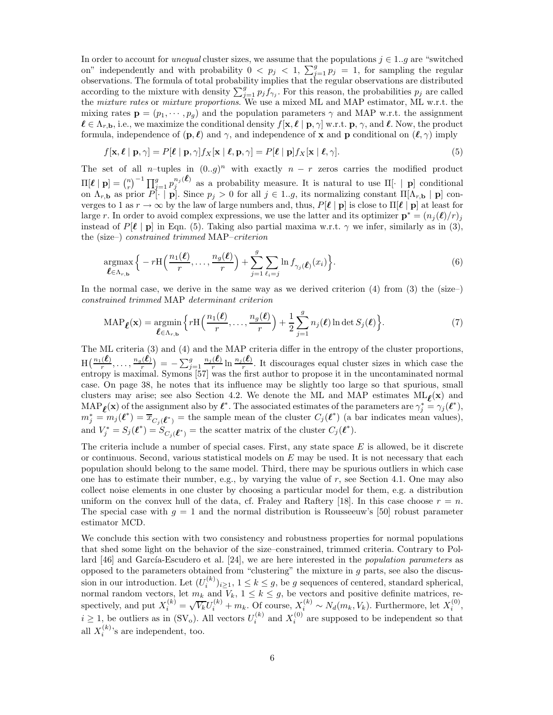In order to account for *unequal* cluster sizes, we assume that the populations  $j \in 1..g$  are "switched" on" independently and with probability  $0 < p_j < 1$ ,  $\sum_{j=1}^g p_j = 1$ , for sampling the regular observations. The formula of total probability implies that the regular observations are distributed according to the mixture with density  $\sum_{j=1}^{g} p_j f_{\gamma_j}$ . For this reason, the probabilities  $p_j$  are called the mixture rates or mixture proportions. We use a mixed ML and MAP estimator, ML w.r.t. the mixing rates  $\mathbf{p} = (p_1, \dots, p_g)$  and the population parameters  $\gamma$  and MAP w.r.t. the assignment  $\ell \in \Lambda_{r,\mathbf{b}}$ , i.e., we maximize the conditional density  $f[\mathbf{x}, \ell | \mathbf{p}, \gamma]$  w.r.t.  $\mathbf{p}, \gamma$ , and  $\ell$ . Now, the product formula, independence of  $(\mathbf{p}, \ell)$  and  $\gamma$ , and independence of x and p conditional on  $(\ell, \gamma)$  imply

$$
f[\mathbf{x}, \ell | \mathbf{p}, \gamma] = P[\ell | \mathbf{p}, \gamma] f_X[\mathbf{x} | \ell, \mathbf{p}, \gamma] = P[\ell | \mathbf{p}] f_X[\mathbf{x} | \ell, \gamma].
$$
\n(5)

The set of all n–tuples in  $(0,g)^n$  with exactly  $n-r$  zeros carries the modified product  $\Pi[\ell | \mathbf{p}] = \binom{n}{r}^{-1} \prod_{i=1}^{g} p_i^{n_i(\ell)}$  as a probability measure. It is natural to use  $\Pi[\cdot | \mathbf{p}]$  conditional on  $\Lambda_{r,\mathbf{b}}$  as prior P[· | **p**]. Since  $p_j > 0$  for all  $j \in 1..g$ , its normalizing constant  $\Pi[\Lambda_{r,\mathbf{b}} | \mathbf{p}]$  converges to 1 as  $r \to \infty$  by the law of large numbers and, thus,  $P[\ell | p]$  is close to  $\Pi[\ell | p]$  at least for large r. In order to avoid complex expressions, we use the latter and its optimizer  $\mathbf{p}^* = (n_j(\ell)/r)_j$ instead of P[ℓ | p] in Eqn. (5). Taking also partial maxima w.r.t.  $\gamma$  we infer, similarly as in (3), the (size–) constrained trimmed MAP–criterion

$$
\underset{\boldsymbol{\ell} \in \Lambda_{r,\mathbf{b}}}{\operatorname{argmax}} \Big\{ -r \mathcal{H} \Big( \frac{n_1(\boldsymbol{\ell})}{r}, \dots, \frac{n_g(\boldsymbol{\ell})}{r} \Big) + \sum_{j=1}^g \sum_{\ell_i=j} \ln f_{\gamma_j(\boldsymbol{\ell})}(x_i) \Big\}.
$$
\n
$$
(6)
$$

In the normal case, we derive in the same way as we derived criterion  $(4)$  from  $(3)$  the (size–) constrained trimmed MAP determinant criterion

$$
\text{MAP}_{\ell}(\mathbf{x}) = \underset{\ell \in \Lambda_{r,\mathbf{b}}}{\operatorname{argmin}} \left\{ r \mathbf{H}\left(\frac{n_1(\ell)}{r}, \dots, \frac{n_g(\ell)}{r}\right) + \frac{1}{2} \sum_{j=1}^g n_j(\ell) \ln \det S_j(\ell) \right\}.
$$
 (7)

The ML criteria (3) and (4) and the MAP criteria differ in the entropy of the cluster proportions,  $\text{H}\bigl(\frac{n_1(\boldsymbol{\ell})}{r},\ldots,\frac{n_g(\boldsymbol{\ell})}{r}\bigr)$  $\left(\frac{\hat{\ell}}{r}\right)^j = -\sum_{j=1}^g \frac{n_j(\ell)}{r}$  $\frac{(\ell)}{r}$  ln  $\frac{n_j(\ell)}{r}$ . It discourages equal cluster sizes in which case the entropy is maximal. Symons [57] was the first author to propose it in the uncontaminated normal case. On page 38, he notes that its influence may be slightly too large so that spurious, small clusters may arise; see also Section 4.2. We denote the ML and MAP estimates  $ML_{\ell}(x)$  and  $\text{MAP}_{\ell}(\mathbf{x})$  of the assignment also by  $\ell^*$ . The associated estimates of the parameters are  $\gamma_j^* = \gamma_j(\ell^*),$  $m_j^* = m_j(\ell^*) = \overline{x}_{C_j(\ell^*)}$  = the sample mean of the cluster  $C_j(\ell^*)$  (a bar indicates mean values), and  $V_j^* = S_j(\ell^*) = S_{C_j(\ell^*)}$  = the scatter matrix of the cluster  $C_j(\ell^*)$ .

The criteria include a number of special cases. First, any state space  $E$  is allowed, be it discrete or continuous. Second, various statistical models on  $E$  may be used. It is not necessary that each population should belong to the same model. Third, there may be spurious outliers in which case one has to estimate their number, e.g., by varying the value of  $r$ , see Section 4.1. One may also collect noise elements in one cluster by choosing a particular model for them, e.g. a distribution uniform on the convex hull of the data, cf. Fraley and Raftery [18]. In this case choose  $r = n$ . The special case with  $g = 1$  and the normal distribution is Rousseeuw's [50] robust parameter estimator MCD.

We conclude this section with two consistency and robustness properties for normal populations that shed some light on the behavior of the size–constrained, trimmed criteria. Contrary to Pollard  $[46]$  and García-Escudero et al.  $[24]$ , we are here interested in the *population parameters* as opposed to the parameters obtained from "clustering" the mixture in  $q$  parts, see also the discussion in our introduction. Let  $(U_i^{(k)})_{i\geq 1}$ ,  $1 \leq k \leq g$ , be g sequences of centered, standard spherical, normal random vectors, let  $m_k$  and  $V_k$ ,  $1 \le k \le g$ , be vectors and positive definite matrices, respectively, and put  $X_i^{(k)} = \sqrt{V_k}U_i^{(k)} + m_k$ . Of course,  $X_i^{(k)} \sim N_d(m_k, V_k)$ . Furthermore, let  $X_i^{(0)}$ ,  $i \geq 1$ , be outliers as in (SV<sub>o</sub>). All vectors  $U_i^{(k)}$  and  $X_i^{(0)}$  are supposed to be independent so that all  $X_i^{(k)}$  $i^{(k)}$ 's are independent, too.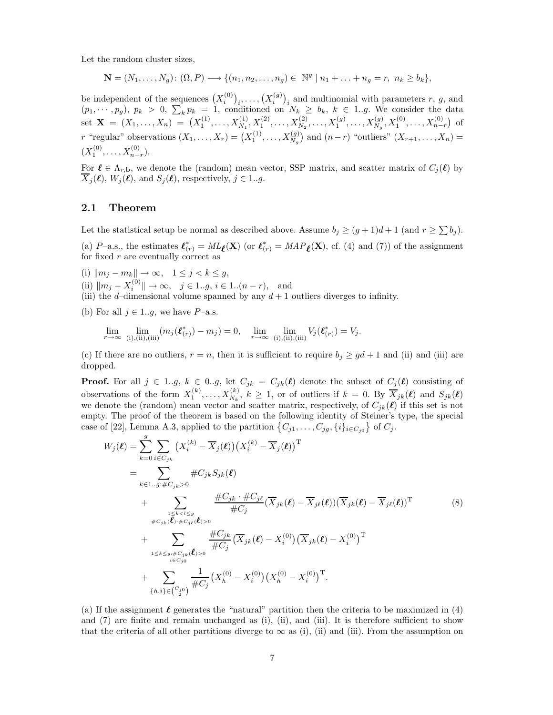Let the random cluster sizes,

$$
\mathbf{N} = (N_1, \dots, N_g) : (\Omega, P) \longrightarrow \{ (n_1, n_2, \dots, n_g) \in \mathbb{N}^g \mid n_1 + \dots + n_g = r, n_k \ge b_k \},\
$$

be independent of the sequences  $(X_i^{(0)}$  $\binom{0}{i}_i, \ldots, \binom{X_i^{(g)}}{i}$  $\binom{g}{i}_i$  and multinomial with parameters r, g, and  $(p_1, \dots, p_g), p_k > 0, \sum_k p_k = 1$ , conditioned on  $N_k \ge b_k, k \in 1..g$ . We consider the data set  $\mathbf{X} = (X_1, \ldots, X_n) = (X_1^{(1)}, \ldots, X_{N_1}^{(1)}, X_1^{(2)}, \ldots, X_{N_2}^{(2)}, \ldots, X_1^{(g)}, \ldots, X_{N_g}^{(g)}, X_1^{(0)}, \ldots, X_{n-r}^{(0)})$  of r "regular" observations  $(X_1, \ldots, X_r) = (X_1^{(1)}, \ldots, X_{N_g}^{(g)})$  and  $(n-r)$  "outliers"  $(X_{r+1}, \ldots, X_n) =$  $(X_1^{(0)},\ldots,X_{n-r}^{(0)}).$ 

For  $\ell \in \Lambda_{r,\mathbf{b}}$ , we denote the (random) mean vector, SSP matrix, and scatter matrix of  $C_i(\ell)$  by  $\overline{X}_j(\boldsymbol{\ell}), W_j(\boldsymbol{\ell}), \text{ and } S_j(\boldsymbol{\ell}), \text{ respectively, } j \in 1..g.$ 

### 2.1 Theorem

Let the statistical setup be normal as described above. Assume  $b_j \ge (g+1)d+1$  (and  $r \ge \sum b_j$ ).

(a) P–a.s., the estimates  $\ell_{(r)}^* = ML_{\ell}(\mathbf{X})$  (or  $\ell_{(r)}^* = MAP_{\ell}(\mathbf{X})$ , cf. (4) and (7)) of the assignment for fixed  $r$  are eventually correct as

(i)  $\|m_j - m_k\| \to \infty$ ,  $1 \le j < k \le g$ ,

(ii)  $||m_j - X_i^{(0)}|| \to \infty$ ,  $j \in 1..g, i \in 1..(n-r)$ , and

(iii) the d–dimensional volume spanned by any  $d+1$  outliers diverges to infinity.

(b) For all  $j \in 1..g$ , we have P-a.s.

$$
\lim_{r \to \infty} \lim_{(i), (ii), (iii)} (m_j(\ell_{(r)}^*) - m_j) = 0, \quad \lim_{r \to \infty} \lim_{(i), (ii), (iii)} V_j(\ell_{(r)}^*) = V_j.
$$

(c) If there are no outliers,  $r = n$ , then it is sufficient to require  $b_j \geq gd + 1$  and (ii) and (iii) are dropped.

**Proof.** For all  $j \in 1..g$ ,  $k \in 0..g$ , let  $C_{jk} = C_{jk}(\ell)$  denote the subset of  $C_j(\ell)$  consisting of observations of the form  $X_1^{(k)},...,X_{N_k}^{(k)}, k \geq 1$ , or of outliers if  $k = 0$ . By  $\overline{X}_{jk}(\ell)$  and  $S_{jk}(\ell)$ we denote the (random) mean vector and scatter matrix, respectively, of  $C_{jk}(\ell)$  if this set is not empty. The proof of the theorem is based on the following identity of Steiner's type, the special case of [22], Lemma A.3, applied to the partition  $\{C_{j1}, \ldots, C_{jg}, \{i\}_{i \in C_{j0}}\}$  of  $C_j$ .

$$
W_{j}(\ell) = \sum_{k=0}^{g} \sum_{i \in C_{jk}} (X_{i}^{(k)} - \overline{X}_{j}(\ell)) (X_{i}^{(k)} - \overline{X}_{j}(\ell))^{T}
$$
  
\n
$$
= \sum_{k \in 1..g; \#C_{jk} > 0} \#C_{jk} S_{jk}(\ell)
$$
  
\n
$$
+ \sum_{\substack{1 \leq k < l \leq g \\ \#C_{jk}(\ell) \to \#C_{j\ell}(\ell) > 0}} \frac{\#C_{jk} \cdot \#C_{j\ell}}{\#C_{j}} (\overline{X}_{jk}(\ell) - \overline{X}_{j\ell}(\ell)) (\overline{X}_{jk}(\ell) - \overline{X}_{j\ell}(\ell))^{T}} \qquad (8)
$$
  
\n
$$
+ \sum_{\substack{1 \leq k \leq g; \#C_{jk}(\ell) > 0 \\ i \in C_{j0}}} \frac{\#C_{jk}}{\#C_{j}} (\overline{X}_{jk}(\ell) - X_{i}^{(0)}) (\overline{X}_{jk}(\ell) - X_{i}^{(0)})^{T}
$$
  
\n
$$
+ \sum_{\substack{\{h, i\} \in (C_{j0}^{(0)}) \\ \{h, i\} \in (C_{j0}^{(0)})}} \frac{1}{\#C_{j}} (X_{h}^{(0)} - X_{i}^{(0)}) (X_{h}^{(0)} - X_{i}^{(0)})^{T}.
$$

(a) If the assignment  $\ell$  generates the "natural" partition then the criteria to be maximized in (4) and (7) are finite and remain unchanged as (i), (ii), and (iii). It is therefore sufficient to show that the criteria of all other partitions diverge to  $\infty$  as (i), (ii) and (iii). From the assumption on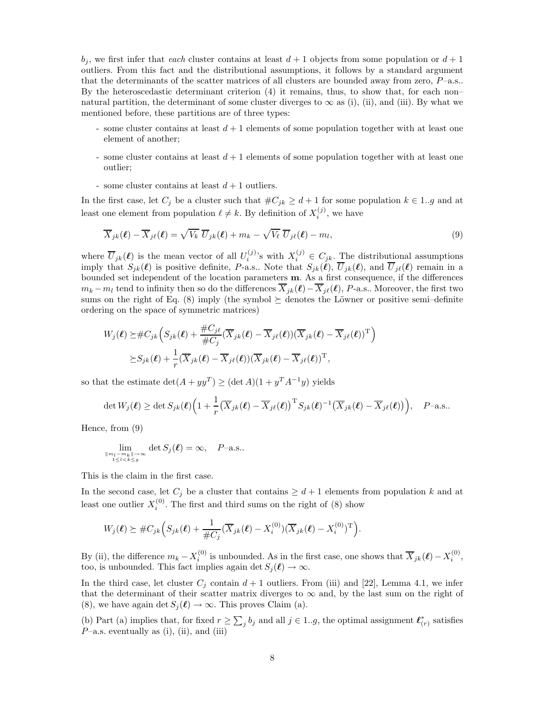$b_j$ , we first infer that each cluster contains at least  $d+1$  objects from some population or  $d+1$ outliers. From this fact and the distributional assumptions, it follows by a standard argument that the determinants of the scatter matrices of all clusters are bounded away from zero,  $P$ –a.s.. By the heteroscedastic determinant criterion (4) it remains, thus, to show that, for each non– natural partition, the determinant of some cluster diverges to  $\infty$  as (i), (ii), and (iii). By what we mentioned before, these partitions are of three types:

- some cluster contains at least  $d+1$  elements of some population together with at least one element of another;
- some cluster contains at least  $d+1$  elements of some population together with at least one outlier;
- some cluster contains at least  $d+1$  outliers.

In the first case, let  $C_j$  be a cluster such that  $\#C_{ik} \geq d+1$  for some population  $k \in 1..g$  and at least one element from population  $\ell \neq k$ . By definition of  $X_i^{(j)}$ , we have

$$
\overline{X}_{jk}(\boldsymbol{\ell}) - \overline{X}_{j\ell}(\boldsymbol{\ell}) = \sqrt{V_k} \ \overline{U}_{jk}(\boldsymbol{\ell}) + m_k - \sqrt{V_\ell} \ \overline{U}_{j\ell}(\boldsymbol{\ell}) - m_l,
$$
\n(9)

where  $\overline{U}_{jk}(\ell)$  is the mean vector of all  $U_i^{(j)}$ 's with  $X_i^{(j)} \in C_{jk}$ . The distributional assumptions imply that  $S_{jk}(\ell)$  is positive definite, P-a.s.. Note that  $S_{jk}(\ell), \overline{U}_{jk}(\ell)$ , and  $\overline{U}_{j\ell}(\ell)$  remain in a bounded set independent of the location parameters m. As a first consequence, if the differences  $m_k - m_l$  tend to infinity then so do the differences  $\overline{X}_{jk}(\ell) - \overline{X}_{j\ell}(\ell)$ , P-a.s.. Moreover, the first two sums on the right of Eq. (8) imply (the symbol  $\succeq$  denotes the Löwner or positive semi–definite ordering on the space of symmetric matrices)

$$
W_j(\boldsymbol{\ell}) \succeq \# C_{jk} \Big( S_{jk}(\boldsymbol{\ell}) + \frac{\# C_{j\ell}}{\# C_j} (\overline{X}_{jk}(\boldsymbol{\ell}) - \overline{X}_{j\ell}(\boldsymbol{\ell})) (\overline{X}_{jk}(\boldsymbol{\ell}) - \overline{X}_{j\ell}(\boldsymbol{\ell}))^{\mathrm{T}} \Big) \succeq S_{jk}(\boldsymbol{\ell}) + \frac{1}{r} (\overline{X}_{jk}(\boldsymbol{\ell}) - \overline{X}_{j\ell}(\boldsymbol{\ell})) (\overline{X}_{jk}(\boldsymbol{\ell}) - \overline{X}_{j\ell}(\boldsymbol{\ell}))^{\mathrm{T}},
$$

so that the estimate  $\det(A + yy^T) \geq (\det A)(1 + y^T A^{-1}y)$  yields

$$
\det W_j(\boldsymbol{\ell}) \geq \det S_{jk}(\boldsymbol{\ell}) \Big( 1 + \frac{1}{r} \big( \overline{X}_{jk}(\boldsymbol{\ell}) - \overline{X}_{j\ell}(\boldsymbol{\ell}) \big)^{\mathrm{T}} S_{jk}(\boldsymbol{\ell})^{-1} \big( \overline{X}_{jk}(\boldsymbol{\ell}) - \overline{X}_{j\ell}(\boldsymbol{\ell}) \big) \Big), \quad P-\text{a.s.}.
$$

Hence, from (9)

$$
\lim_{\substack{\|m_l - m_k\| \to \infty \\ 1 \le l < k \le g}} \det S_j(\boldsymbol{\ell}) = \infty, \quad P\text{-a.s..}
$$

This is the claim in the first case.

In the second case, let  $C_j$  be a cluster that contains  $\geq d+1$  elements from population k and at least one outlier  $X_i^{(0)}$ . The first and third sums on the right of (8) show

$$
W_j(\boldsymbol{\ell}) \succeq \#C_{jk}\Big(S_{jk}(\boldsymbol{\ell}) + \frac{1}{\#C_j}(\overline{X}_{jk}(\boldsymbol{\ell}) - X_i^{(0)})(\overline{X}_{jk}(\boldsymbol{\ell}) - X_i^{(0)})^{\mathrm{T}}\Big).
$$

By (ii), the difference  $m_k - X_i^{(0)}$  is unbounded. As in the first case, one shows that  $\overline{X}_{jk}(\ell) - X_i^{(0)}$ , too, is unbounded. This fact implies again det  $S_i(\ell) \to \infty$ .

In the third case, let cluster  $C_i$  contain  $d+1$  outliers. From (iii) and [22], Lemma 4.1, we infer that the determinant of their scatter matrix diverges to  $\infty$  and, by the last sum on the right of (8), we have again det  $S_i(\ell) \to \infty$ . This proves Claim (a).

(b) Part (a) implies that, for fixed  $r \ge \sum_j b_j$  and all  $j \in 1..g$ , the optimal assignment  $\ell^*_{(r)}$  satisfies  $P$ –a.s. eventually as (i), (ii), and (iii)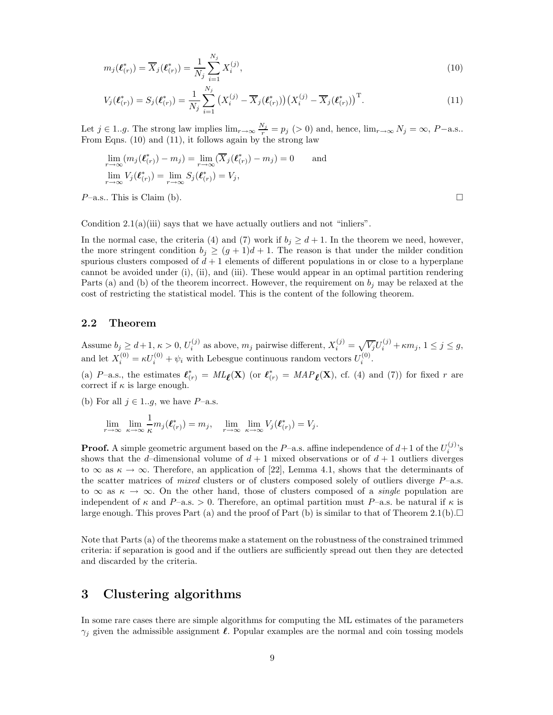$$
m_j(\ell_{(r)}^*) = \overline{X}_j(\ell_{(r)}^*) = \frac{1}{N_j} \sum_{i=1}^{N_j} X_i^{(j)},
$$
\n(10)

$$
V_j(\ell_{(r)}^*) = S_j(\ell_{(r)}^*) = \frac{1}{N_j} \sum_{i=1}^{N_j} \left( X_i^{(j)} - \overline{X}_j(\ell_{(r)}^*) \right) \left( X_i^{(j)} - \overline{X}_j(\ell_{(r)}^*) \right)^{\mathrm{T}}.
$$
\n(11)

Let  $j \in 1..g$ . The strong law implies  $\lim_{r \to \infty} \frac{N_j}{r} = p_j > 0$  and, hence,  $\lim_{r \to \infty} N_j = \infty$ ,  $P-\text{a.s.}$ . From Eqns. (10) and (11), it follows again by the strong law

$$
\lim_{r \to \infty} (m_j(\ell_{(r)}^*) - m_j) = \lim_{r \to \infty} (\overline{X}_j(\ell_{(r)}^*) - m_j) = 0 \quad \text{and}
$$
\n
$$
\lim_{r \to \infty} V_j(\ell_{(r)}^*) = \lim_{r \to \infty} S_j(\ell_{(r)}^*) = V_j,
$$
\n
$$
P\text{-a.s.. This is Claim (b).}
$$

Condition  $2.1(a)(iii)$  says that we have actually outliers and not "inliers".

In the normal case, the criteria (4) and (7) work if  $b_i \geq d+1$ . In the theorem we need, however, the more stringent condition  $b_i \ge (g+1)d+1$ . The reason is that under the milder condition spurious clusters composed of  $d + 1$  elements of different populations in or close to a hyperplane cannot be avoided under (i), (ii), and (iii). These would appear in an optimal partition rendering Parts (a) and (b) of the theorem incorrect. However, the requirement on  $b_j$  may be relaxed at the cost of restricting the statistical model. This is the content of the following theorem.

## 2.2 Theorem

Assume  $b_j \geq d+1, \kappa > 0, U_i^{(j)}$  $\mathcal{L}_{i}^{(j)}$  as above,  $m_j$  pairwise different,  $X_i^{(j)} = \sqrt{V_j}U_i^{(j)} + \kappa m_j$ ,  $1 \leq j \leq g$ , and let  $X_i^{(0)} = \kappa U_i^{(0)} + \psi_i$  with Lebesgue continuous random vectors  $U_i^{(0)}$ .

(a) P–a.s., the estimates  $\ell^*_{(r)} = ML_{\ell}(\mathbf{X})$  (or  $\ell^*_{(r)} = MAP_{\ell}(\mathbf{X})$ , cf. (4) and (7)) for fixed r are correct if  $\kappa$  is large enough.

(b) For all  $j \in 1..g$ , we have P-a.s.

$$
\lim_{r \to \infty} \lim_{\kappa \to \infty} \frac{1}{\kappa} m_j(\boldsymbol{\ell}_{(r)}^*) = m_j, \quad \lim_{r \to \infty} \lim_{\kappa \to \infty} V_j(\boldsymbol{\ell}_{(r)}^*) = V_j.
$$

**Proof.** A simple geometric argument based on the P-a.s. affine independence of  $d+1$  of the  $U_i^{(j)}$ 's shows that the d–dimensional volume of  $d+1$  mixed observations or of  $d+1$  outliers diverges to  $\infty$  as  $\kappa \to \infty$ . Therefore, an application of [22], Lemma 4.1, shows that the determinants of the scatter matrices of *mixed* clusters or of clusters composed solely of outliers diverge  $P$ –a.s. to  $\infty$  as  $\kappa \to \infty$ . On the other hand, those of clusters composed of a *single* population are independent of  $\kappa$  and P–a.s. > 0. Therefore, an optimal partition must P–a.s. be natural if  $\kappa$  is large enough. This proves Part (a) and the proof of Part (b) is similar to that of Theorem 2.1(b).

Note that Parts (a) of the theorems make a statement on the robustness of the constrained trimmed criteria: if separation is good and if the outliers are sufficiently spread out then they are detected and discarded by the criteria.

## 3 Clustering algorithms

In some rare cases there are simple algorithms for computing the ML estimates of the parameters  $\gamma_i$  given the admissible assignment  $\ell$ . Popular examples are the normal and coin tossing models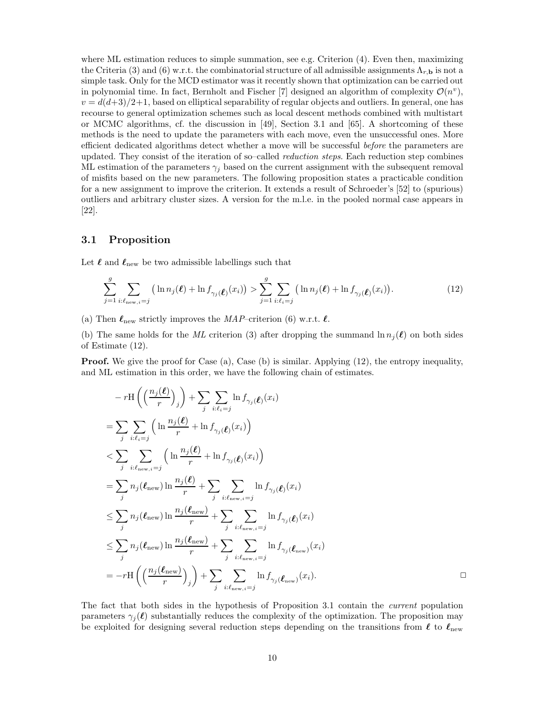where ML estimation reduces to simple summation, see e.g. Criterion  $(4)$ . Even then, maximizing the Criteria (3) and (6) w.r.t. the combinatorial structure of all admissible assignments  $\Lambda_{r,\mathbf{b}}$  is not a simple task. Only for the MCD estimator was it recently shown that optimization can be carried out in polynomial time. In fact, Bernholt and Fischer [7] designed an algorithm of complexity  $\mathcal{O}(n^v)$ ,  $v = d(d+3)/2+1$ , based on elliptical separability of regular objects and outliers. In general, one has recourse to general optimization schemes such as local descent methods combined with multistart or MCMC algorithms, cf. the discussion in [49], Section 3.1 and [65]. A shortcoming of these methods is the need to update the parameters with each move, even the unsuccessful ones. More efficient dedicated algorithms detect whether a move will be successful *before* the parameters are updated. They consist of the iteration of so–called *reduction steps*. Each reduction step combines ML estimation of the parameters  $\gamma_i$  based on the current assignment with the subsequent removal of misfits based on the new parameters. The following proposition states a practicable condition for a new assignment to improve the criterion. It extends a result of Schroeder's [52] to (spurious) outliers and arbitrary cluster sizes. A version for the m.l.e. in the pooled normal case appears in [22].

### 3.1 Proposition

Let  $\ell$  and  $\ell_{\text{new}}$  be two admissible labellings such that

$$
\sum_{j=1}^{g} \sum_{i:\ell_{\text{new},i}=j} \left( \ln n_j(\ell) + \ln f_{\gamma_j(\ell)}(x_i) \right) > \sum_{j=1}^{g} \sum_{i:\ell_i=j} \left( \ln n_j(\ell) + \ln f_{\gamma_j(\ell)}(x_i) \right). \tag{12}
$$

(a) Then  $\ell_{\text{new}}$  strictly improves the MAP–criterion (6) w.r.t.  $\ell$ .

(b) The same holds for the ML criterion (3) after dropping the summand  $\ln n_i(\ell)$  on both sides of Estimate (12).

**Proof.** We give the proof for Case (a), Case (b) is similar. Applying (12), the entropy inequality, and ML estimation in this order, we have the following chain of estimates.

$$
- r \mathcal{H} \left( \left( \frac{n_j(\ell)}{r} \right)_j \right) + \sum_j \sum_{i:\ell_i=j} \ln f_{\gamma_j}(\ell)(x_i)
$$
  
\n
$$
= \sum_j \sum_{i:\ell_i=j} \left( \ln \frac{n_j(\ell)}{r} + \ln f_{\gamma_j}(\ell)(x_i) \right)
$$
  
\n
$$
< \sum_j \sum_{i:\ell_{\text{new},i}=j} \left( \ln \frac{n_j(\ell)}{r} + \ln f_{\gamma_j}(\ell)(x_i) \right)
$$
  
\n
$$
= \sum_j n_j(\ell_{\text{new}}) \ln \frac{n_j(\ell)}{r} + \sum_j \sum_{i:\ell_{\text{new},i}=j} \ln f_{\gamma_j}(\ell)(x_i)
$$
  
\n
$$
\leq \sum_j n_j(\ell_{\text{new}}) \ln \frac{n_j(\ell_{\text{new}})}{r} + \sum_j \sum_{i:\ell_{\text{new},i}=j} \ln f_{\gamma_j}(\ell)(x_i)
$$
  
\n
$$
\leq \sum_j n_j(\ell_{\text{new}}) \ln \frac{n_j(\ell_{\text{new}})}{r} + \sum_j \sum_{i:\ell_{\text{new},i}=j} \ln f_{\gamma_j}(\ell_{\text{new}})(x_i)
$$
  
\n
$$
= -r \mathcal{H} \left( \left( \frac{n_j(\ell_{\text{new}})}{r} \right)_j \right) + \sum_j \sum_{i:\ell_{\text{new},i}=j} \ln f_{\gamma_j}(\ell_{\text{new}})(x_i).
$$

The fact that both sides in the hypothesis of Proposition 3.1 contain the current population parameters  $\gamma_i(\ell)$  substantially reduces the complexity of the optimization. The proposition may be exploited for designing several reduction steps depending on the transitions from  $\ell$  to  $\ell_{\text{new}}$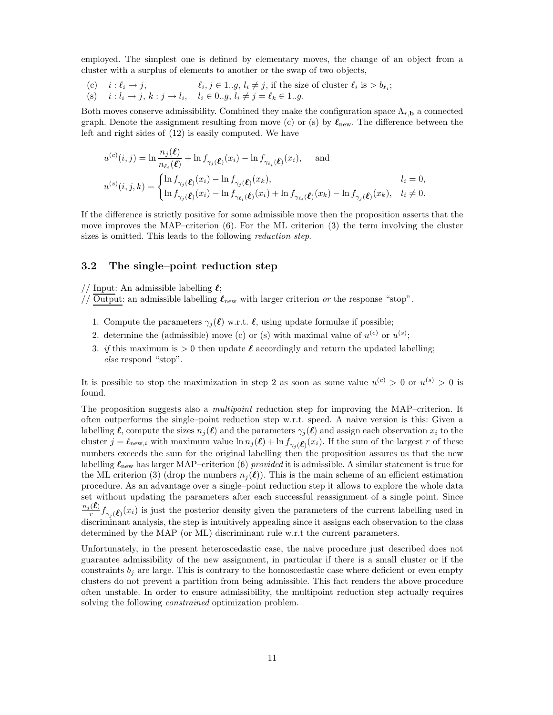employed. The simplest one is defined by elementary moves, the change of an object from a cluster with a surplus of elements to another or the swap of two objects,

(c)  $i : \ell_i \to j,$   $\ell_i$  $i, j \in 1..g, l_i \neq j$ , if the size of cluster  $l_i$  is  $> b_{l_i}$ ; (s)  $i : l_i \to j, k : j \to l_i, \quad l_i \in 0..g, l_i \neq j = l_k \in 1..g.$ 

Both moves conserve admissibility. Combined they make the configuration space  $\Lambda_{r,\mathbf{b}}$  a connected graph. Denote the assignment resulting from move (c) or (s) by  $\ell_{\text{new}}$ . The difference between the left and right sides of (12) is easily computed. We have

$$
u^{(c)}(i,j) = \ln \frac{n_j(\ell)}{n_{\ell_i}(\ell)} + \ln f_{\gamma_j(\ell)}(x_i) - \ln f_{\gamma_{\ell_i}(\ell)}(x_i), \quad \text{and}
$$
  

$$
u^{(s)}(i,j,k) = \begin{cases} \ln f_{\gamma_j(\ell)}(x_i) - \ln f_{\gamma_j(\ell)}(x_k), & l_i = 0, \\ \ln f_{\gamma_j(\ell)}(x_i) - \ln f_{\gamma_{\ell_i}(\ell)}(x_i) + \ln f_{\gamma_{\ell_i}(\ell)}(x_k) - \ln f_{\gamma_j(\ell)}(x_k), & l_i \neq 0. \end{cases}
$$

If the difference is strictly positive for some admissible move then the proposition asserts that the move improves the MAP–criterion  $(6)$ . For the ML criterion  $(3)$  the term involving the cluster sizes is omitted. This leads to the following *reduction step*.

### 3.2 The single–point reduction step

// Input: An admissible labelling  $\ell$ ;

// Output: an admissible labelling  $\ell_{\text{new}}$  with larger criterion or the response "stop".

- 1. Compute the parameters  $\gamma_i(\ell)$  w.r.t.  $\ell$ , using update formulae if possible;
- 2. determine the (admissible) move (c) or (s) with maximal value of  $u^{(c)}$  or  $u^{(s)}$ ;
- 3. if this maximum is  $> 0$  then update  $\ell$  accordingly and return the updated labelling; else respond "stop".

It is possible to stop the maximization in step 2 as soon as some value  $u^{(c)} > 0$  or  $u^{(s)} > 0$  is found.

The proposition suggests also a *multipoint* reduction step for improving the MAP–criterion. It often outperforms the single–point reduction step w.r.t. speed. A naive version is this: Given a labelling  $\ell$ , compute the sizes  $n_i(\ell)$  and the parameters  $\gamma_i(\ell)$  and assign each observation  $x_i$  to the cluster  $j = \ell_{\text{new},i}$  with maximum value  $\ln n_j(\ell) + \ln f_{\gamma_j(\ell)}(x_i)$ . If the sum of the largest r of these numbers exceeds the sum for the original labelling then the proposition assures us that the new labelling  $\ell_{\text{new}}$  has larger MAP–criterion (6) provided it is admissible. A similar statement is true for the ML criterion (3) (drop the numbers  $n_i(\ell)$ ). This is the main scheme of an efficient estimation procedure. As an advantage over a single–point reduction step it allows to explore the whole data set without updating the parameters after each successful reassignment of a single point. Since  $\sum_{n_j}^{\infty}$  $\frac{f(x)}{f(x)} f_{\gamma_j}(\ell)(x_i)$  is just the posterior density given the parameters of the current labelling used in discriminant analysis, the step is intuitively appealing since it assigns each observation to the class determined by the MAP (or ML) discriminant rule w.r.t the current parameters.

Unfortunately, in the present heteroscedastic case, the naive procedure just described does not guarantee admissibility of the new assignment, in particular if there is a small cluster or if the constraints  $b_j$  are large. This is contrary to the homoscedastic case where deficient or even empty clusters do not prevent a partition from being admissible. This fact renders the above procedure often unstable. In order to ensure admissibility, the multipoint reduction step actually requires solving the following *constrained* optimization problem.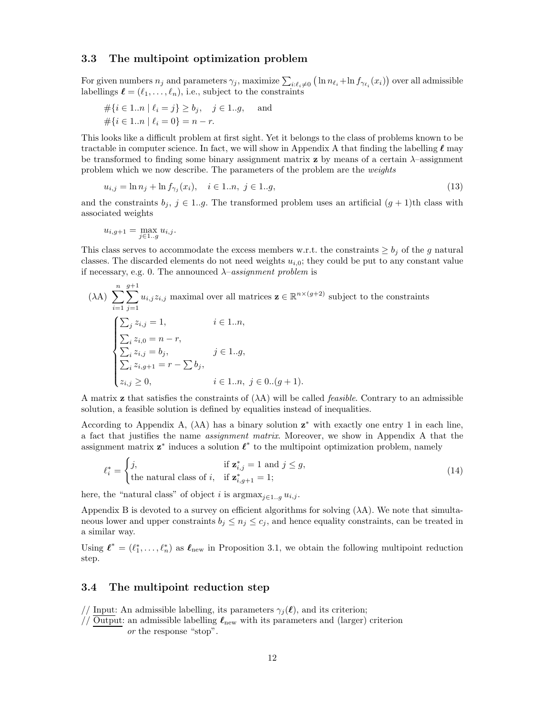### 3.3 The multipoint optimization problem

For given numbers  $n_j$  and parameters  $\gamma_j$ , maximize  $\sum_{i:\ell_i\neq 0} (\ln n_{\ell_i} + \ln f_{\gamma_{\ell_i}}(x_i))$  over all admissible labellings  $\ell = (\ell_1, \ldots, \ell_n)$ , i.e., subject to the constraints

$$
\begin{aligned} &\# \{ i \in 1..n \mid \ell_i = j \} \ge b_j, \quad j \in 1..g, \quad \text{ and } \\ &\# \{ i \in 1..n \mid \ell_i = 0 \} = n - r. \end{aligned}
$$

This looks like a difficult problem at first sight. Yet it belongs to the class of problems known to be tractable in computer science. In fact, we will show in Appendix A that finding the labelling  $\ell$  may be transformed to finding some binary assignment matrix **z** by means of a certain  $\lambda$ -assignment problem which we now describe. The parameters of the problem are the weights

$$
u_{i,j} = \ln n_j + \ln f_{\gamma_j}(x_i), \quad i \in 1..n, \ j \in 1..g,
$$
\n(13)

and the constraints  $b_j$ ,  $j \in 1..g$ . The transformed problem uses an artificial  $(g + 1)$ th class with associated weights

$$
u_{i,g+1} = \max_{j \in 1..g} u_{i,j}.
$$

This class serves to accommodate the excess members w.r.t. the constraints  $\geq b_j$  of the g natural classes. The discarded elements do not need weights  $u_{i,0}$ ; they could be put to any constant value if necessary, e.g. 0. The announced  $\lambda$ -assignment problem is

$$
(\lambda A) \sum_{i=1}^{n} \sum_{j=1}^{g+1} u_{i,j} z_{i,j} \text{ maximal over all matrices } \mathbf{z} \in \mathbb{R}^{n \times (g+2)} \text{ subject to the constraints}
$$

$$
\begin{cases} \sum_{j} z_{i,j} = 1, & i \in 1..n, \\ \sum_{i} z_{i,0} = n-r, \\ \sum_{i} z_{i,j} = b_j, & j \in 1..g, \\ \sum_{i} z_{i,g+1} = r - \sum b_j, & i \in 1..n, j \in 0..(g+1). \end{cases}
$$

A matrix **z** that satisfies the constraints of  $(\lambda A)$  will be called *feasible*. Contrary to an admissible solution, a feasible solution is defined by equalities instead of inequalities.

According to Appendix A,  $(\lambda A)$  has a binary solution  $z^*$  with exactly one entry 1 in each line, a fact that justifies the name assignment matrix. Moreover, we show in Appendix A that the assignment matrix  $z^*$  induces a solution  $\ell^*$  to the multipoint optimization problem, namely

$$
\ell_i^* = \begin{cases} j, & \text{if } \mathbf{z}_{i,j}^* = 1 \text{ and } j \le g, \\ \text{the natural class of } i, & \text{if } \mathbf{z}_{i,g+1}^* = 1; \end{cases} \tag{14}
$$

here, the "natural class" of object i is  $\arg\max_{i\in 1..q} u_{i,j}$ .

Appendix B is devoted to a survey on efficient algorithms for solving  $(\lambda A)$ . We note that simultaneous lower and upper constraints  $b_j \leq n_j \leq c_j$ , and hence equality constraints, can be treated in a similar way.

Using  $\ell^* = (\ell_1^*, \ldots, \ell_n^*)$  as  $\ell_{\text{new}}$  in Proposition 3.1, we obtain the following multipoint reduction step.

### 3.4 The multipoint reduction step

// Input: An admissible labelling, its parameters  $\gamma_j(\ell)$ , and its criterion;

// Output: an admissible labelling  $\ell_{\text{new}}$  with its parameters and (larger) criterion or the response "stop".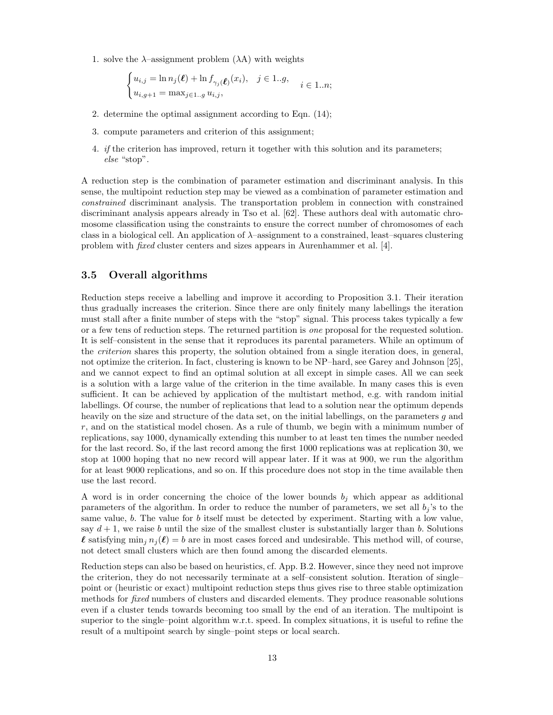1. solve the  $\lambda$ -assignment problem  $(\lambda A)$  with weights

$$
\begin{cases} u_{i,j} = \ln n_j(\boldsymbol{\ell}) + \ln f_{\gamma_j(\boldsymbol{\ell})}(x_i), & j \in 1..g, \\ u_{i,g+1} = \max_{j \in 1..g} u_{i,j}, \end{cases} \quad i \in 1..n;
$$

- 2. determine the optimal assignment according to Eqn. (14);
- 3. compute parameters and criterion of this assignment;
- 4. if the criterion has improved, return it together with this solution and its parameters; else "stop".

A reduction step is the combination of parameter estimation and discriminant analysis. In this sense, the multipoint reduction step may be viewed as a combination of parameter estimation and constrained discriminant analysis. The transportation problem in connection with constrained discriminant analysis appears already in Tso et al. [62]. These authors deal with automatic chromosome classification using the constraints to ensure the correct number of chromosomes of each class in a biological cell. An application of  $\lambda$ –assignment to a constrained, least–squares clustering problem with fixed cluster centers and sizes appears in Aurenhammer et al. [4].

## 3.5 Overall algorithms

Reduction steps receive a labelling and improve it according to Proposition 3.1. Their iteration thus gradually increases the criterion. Since there are only finitely many labellings the iteration must stall after a finite number of steps with the "stop" signal. This process takes typically a few or a few tens of reduction steps. The returned partition is one proposal for the requested solution. It is self–consistent in the sense that it reproduces its parental parameters. While an optimum of the *criterion* shares this property, the solution obtained from a single iteration does, in general, not optimize the criterion. In fact, clustering is known to be NP–hard, see Garey and Johnson [25], and we cannot expect to find an optimal solution at all except in simple cases. All we can seek is a solution with a large value of the criterion in the time available. In many cases this is even sufficient. It can be achieved by application of the multistart method, e.g. with random initial labellings. Of course, the number of replications that lead to a solution near the optimum depends heavily on the size and structure of the data set, on the initial labellings, on the parameters g and  $r$ , and on the statistical model chosen. As a rule of thumb, we begin with a minimum number of replications, say 1000, dynamically extending this number to at least ten times the number needed for the last record. So, if the last record among the first 1000 replications was at replication 30, we stop at 1000 hoping that no new record will appear later. If it was at 900, we run the algorithm for at least 9000 replications, and so on. If this procedure does not stop in the time available then use the last record.

A word is in order concerning the choice of the lower bounds  $b_j$  which appear as additional parameters of the algorithm. In order to reduce the number of parameters, we set all  $b_i$ 's to the same value, b. The value for b itself must be detected by experiment. Starting with a low value, say  $d+1$ , we raise b until the size of the smallest cluster is substantially larger than b. Solutions  $\ell$  satisfying  $\min_i n_i(\ell) = b$  are in most cases forced and undesirable. This method will, of course, not detect small clusters which are then found among the discarded elements.

Reduction steps can also be based on heuristics, cf. App. B.2. However, since they need not improve the criterion, they do not necessarily terminate at a self–consistent solution. Iteration of single– point or (heuristic or exact) multipoint reduction steps thus gives rise to three stable optimization methods for *fixed* numbers of clusters and discarded elements. They produce reasonable solutions even if a cluster tends towards becoming too small by the end of an iteration. The multipoint is superior to the single–point algorithm w.r.t. speed. In complex situations, it is useful to refine the result of a multipoint search by single–point steps or local search.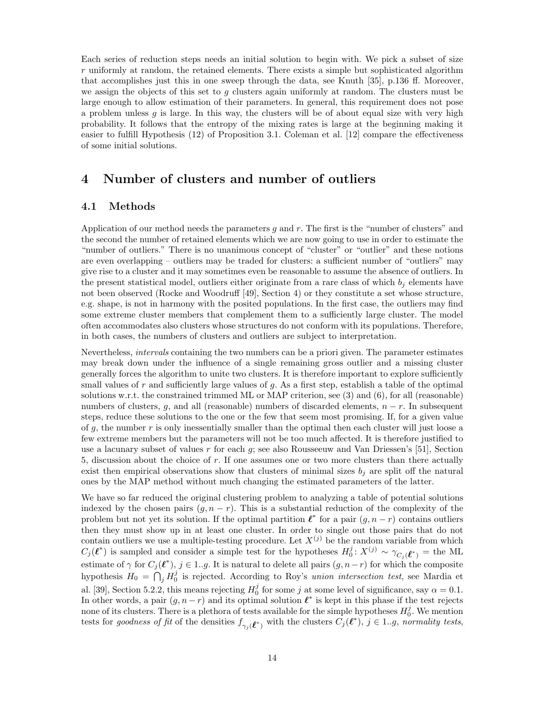Each series of reduction steps needs an initial solution to begin with. We pick a subset of size  $r$  uniformly at random, the retained elements. There exists a simple but sophisticated algorithm that accomplishes just this in one sweep through the data, see Knuth [35], p.136 ff. Moreover, we assign the objects of this set to  $g$  clusters again uniformly at random. The clusters must be large enough to allow estimation of their parameters. In general, this requirement does not pose a problem unless g is large. In this way, the clusters will be of about equal size with very high probability. It follows that the entropy of the mixing rates is large at the beginning making it easier to fulfill Hypothesis (12) of Proposition 3.1. Coleman et al. [12] compare the effectiveness of some initial solutions.

## 4 Number of clusters and number of outliers

## 4.1 Methods

Application of our method needs the parameters  $g$  and  $r$ . The first is the "number of clusters" and the second the number of retained elements which we are now going to use in order to estimate the "number of outliers." There is no unanimous concept of "cluster" or "outlier" and these notions are even overlapping – outliers may be traded for clusters: a sufficient number of "outliers" may give rise to a cluster and it may sometimes even be reasonable to assume the absence of outliers. In the present statistical model, outliers either originate from a rare class of which  $b_i$  elements have not been observed (Rocke and Woodruff [49], Section 4) or they constitute a set whose structure, e.g. shape, is not in harmony with the posited populations. In the first case, the outliers may find some extreme cluster members that complement them to a sufficiently large cluster. The model often accommodates also clusters whose structures do not conform with its populations. Therefore, in both cases, the numbers of clusters and outliers are subject to interpretation.

Nevertheless, intervals containing the two numbers can be a priori given. The parameter estimates may break down under the influence of a single remaining gross outlier and a missing cluster generally forces the algorithm to unite two clusters. It is therefore important to explore sufficiently small values of  $r$  and sufficiently large values of  $q$ . As a first step, establish a table of the optimal solutions w.r.t. the constrained trimmed ML or MAP criterion, see (3) and (6), for all (reasonable) numbers of clusters, g, and all (reasonable) numbers of discarded elements,  $n - r$ . In subsequent steps, reduce these solutions to the one or the few that seem most promising. If, for a given value of q, the number  $r$  is only inessentially smaller than the optimal then each cluster will just loose a few extreme members but the parameters will not be too much affected. It is therefore justified to use a lacunary subset of values r for each  $g$ ; see also Rousseeuw and Van Driessen's [51], Section 5, discussion about the choice of r. If one assumes one or two more clusters than there actually exist then empirical observations show that clusters of minimal sizes  $b_i$  are split off the natural ones by the MAP method without much changing the estimated parameters of the latter.

We have so far reduced the original clustering problem to analyzing a table of potential solutions indexed by the chosen pairs  $(g, n-r)$ . This is a substantial reduction of the complexity of the problem but not yet its solution. If the optimal partition  $\ell^*$  for a pair  $(g, n-r)$  contains outliers then they must show up in at least one cluster. In order to single out those pairs that do not contain outliers we use a multiple-testing procedure. Let  $X^{(j)}$  be the random variable from which  $C_j(\ell^*)$  is sampled and consider a simple test for the hypotheses  $H_0^j: X^{(j)} \sim \gamma_{C_j(\ell^*)}$  = the ML estimate of  $\gamma$  for  $C_j(\ell^*), j \in 1..g$ . It is natural to delete all pairs  $(g, n-r)$  for which the composite hypothesis  $H_0 = \bigcap_j H_0^j$  is rejected. According to Roy's union intersection test, see Mardia et al. [39], Section 5.2.2, this means rejecting  $H_0^j$  for some j at some level of significance, say  $\alpha = 0.1$ . In other words, a pair  $(g, n-r)$  and its optimal solution  $\ell^*$  is kept in this phase if the test rejects none of its clusters. There is a plethora of tests available for the simple hypotheses  $H_0^j$ . We mention tests for goodness of fit of the densities  $f_{\gamma_j}(\ell^*)$  with the clusters  $C_j(\ell^*)$ ,  $j \in 1..g$ , normality tests,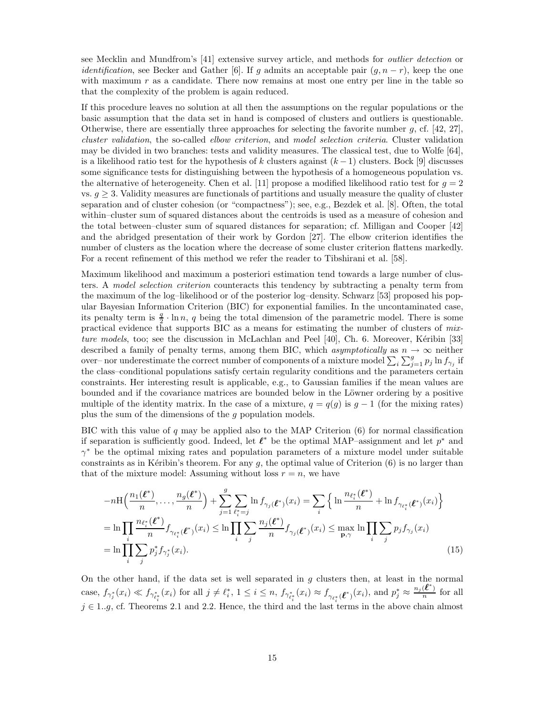see Mecklin and Mundfrom's [41] extensive survey article, and methods for outlier detection or *identification*, see Becker and Gather [6]. If g admits an acceptable pair  $(g, n-r)$ , keep the one with maximum  $r$  as a candidate. There now remains at most one entry per line in the table so that the complexity of the problem is again reduced.

If this procedure leaves no solution at all then the assumptions on the regular populations or the basic assumption that the data set in hand is composed of clusters and outliers is questionable. Otherwise, there are essentially three approaches for selecting the favorite number  $g$ , cf. [42, 27], cluster validation, the so-called elbow criterion, and model selection criteria. Cluster validation may be divided in two branches: tests and validity measures. The classical test, due to Wolfe [64], is a likelihood ratio test for the hypothesis of k clusters against  $(k-1)$  clusters. Bock [9] discusses some significance tests for distinguishing between the hypothesis of a homogeneous population vs. the alternative of heterogeneity. Chen et al. [11] propose a modified likelihood ratio test for  $g = 2$ vs.  $g \geq 3$ . Validity measures are functionals of partitions and usually measure the quality of cluster separation and of cluster cohesion (or "compactness"); see, e.g., Bezdek et al. [8]. Often, the total within–cluster sum of squared distances about the centroids is used as a measure of cohesion and the total between–cluster sum of squared distances for separation; cf. Milligan and Cooper [42] and the abridged presentation of their work by Gordon [27]. The elbow criterion identifies the number of clusters as the location where the decrease of some cluster criterion flattens markedly. For a recent refinement of this method we refer the reader to Tibshirani et al. [58].

Maximum likelihood and maximum a posteriori estimation tend towards a large number of clusters. A model selection criterion counteracts this tendency by subtracting a penalty term from the maximum of the log–likelihood or of the posterior log–density. Schwarz [53] proposed his popular Bayesian Information Criterion (BIC) for exponential families. In the uncontaminated case, its penalty term is  $\frac{q}{2} \cdot \ln n$ , q being the total dimension of the parametric model. There is some practical evidence that supports BIC as a means for estimating the number of clusters of mixture models, too; see the discussion in McLachlan and Peel [40], Ch. 6. Moreover, Kéribin [33] described a family of penalty terms, among them BIC, which asymptotically as  $n \to \infty$  neither over– nor underestimate the correct number of components of a mixture model  $\sum_i \sum_{j=1}^g p_j \ln f_{\gamma_j}$  if the class–conditional populations satisfy certain regularity conditions and the parameters certain constraints. Her interesting result is applicable, e.g., to Gaussian families if the mean values are bounded and if the covariance matrices are bounded below in the Löwner ordering by a positive multiple of the identity matrix. In the case of a mixture,  $q = q(q)$  is  $q - 1$  (for the mixing rates) plus the sum of the dimensions of the g population models.

BIC with this value of  $q$  may be applied also to the MAP Criterion  $(6)$  for normal classification if separation is sufficiently good. Indeed, let  $\ell^*$  be the optimal MAP–assignment and let  $p^*$  and γ <sup>∗</sup> be the optimal mixing rates and population parameters of a mixture model under suitable constraints as in Kéribin's theorem. For any q, the optimal value of Criterion  $(6)$  is no larger than that of the mixture model: Assuming without loss  $r = n$ , we have

$$
-n\mathrm{H}\left(\frac{n_{1}(\ell^{*})}{n},\ldots,\frac{n_{g}(\ell^{*})}{n}\right)+\sum_{j=1}^{g}\sum_{\ell_{i}^{*}=j}\ln f_{\gamma_{j}(\ell^{*})}(x_{i})=\sum_{i}\left\{\ln\frac{n_{\ell_{i}^{*}}(\ell^{*})}{n}+\ln f_{\gamma_{\ell_{i}^{*}}(\ell^{*})}(x_{i})\right\}
$$
\n
$$
=\ln\prod_{i}\frac{n_{\ell_{i}^{*}}(\ell^{*})}{n}f_{\gamma_{\ell_{i}^{*}}(\ell^{*})}(x_{i})\leq\ln\prod_{i}\sum_{j}\frac{n_{j}(\ell^{*})}{n}f_{\gamma_{j}(\ell^{*})}(x_{i})\leq\max_{\mathbf{p},\gamma}\ln\prod_{i}\sum_{j}p_{j}f_{\gamma_{j}}(x_{i})
$$
\n
$$
=\ln\prod_{i}\sum_{j}p_{j}^{*}f_{\gamma_{j}^{*}}(x_{i}).\tag{15}
$$

On the other hand, if the data set is well separated in  $g$  clusters then, at least in the normal case,  $f_{\gamma_j^*}(x_i) \ll f_{\gamma_{\ell_i^*}^*}(x_i)$  for all  $j \neq \ell_i^*$ ,  $1 \leq i \leq n$ ,  $f_{\gamma_{\ell_i^*}^*}(x_i) \approx f_{\gamma_{\ell_i^*}}(\ell^*)(x_i)$ , and  $p_j^* \approx$  $n_j(\boldsymbol{\ell}^*)$  $\frac{(\mathbf{c})}{n}$  for all  $j \in 1..g$ , cf. Theorems 2.1 and 2.2. Hence, the third and the last terms in the above chain almost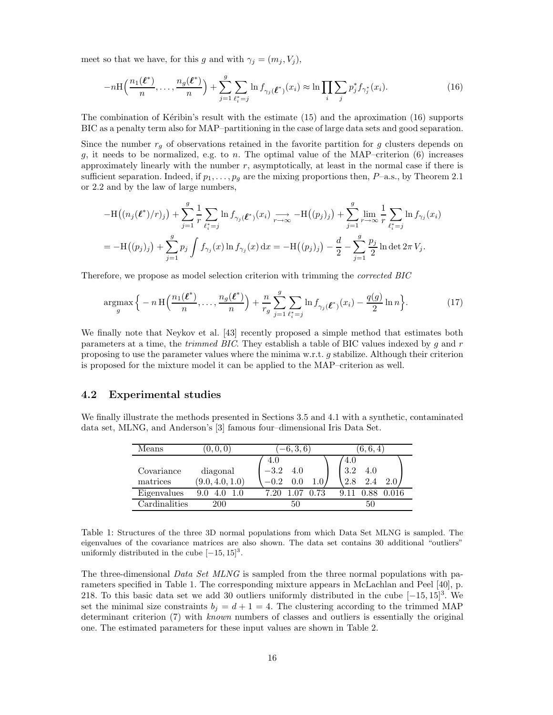meet so that we have, for this g and with  $\gamma_j = (m_j, V_j)$ ,

$$
-n\mathrm{H}\left(\frac{n_1(\ell^*)}{n},\ldots,\frac{n_g(\ell^*)}{n}\right) + \sum_{j=1}^g \sum_{\ell_i^*=j} \ln f_{\gamma_j}(\ell^*)\left(x_i\right) \approx \ln \prod_i \sum_j p_j^* f_{\gamma_j^*}(x_i). \tag{16}
$$

The combination of Ketibin's result with the estimate  $(15)$  and the aproximation  $(16)$  supports BIC as a penalty term also for MAP–partitioning in the case of large data sets and good separation.

Since the number  $r_g$  of observations retained in the favorite partition for g clusters depends on g, it needs to be normalized, e.g. to n. The optimal value of the MAP–criterion  $(6)$  increases approximately linearly with the number  $r$ , asymptotically, at least in the normal case if there is sufficient separation. Indeed, if  $p_1, \ldots, p_q$  are the mixing proportions then,  $P$ –a.s., by Theorem 2.1 or 2.2 and by the law of large numbers,

$$
-H((n_j(\ell^*)/r)_j) + \sum_{j=1}^g \frac{1}{r} \sum_{\ell_i^* = j} \ln f_{\gamma_j}(\ell^*) (x_i) \longrightarrow_{r \to \infty} -H((p_j)_j) + \sum_{j=1}^g \lim_{r \to \infty} \frac{1}{r} \sum_{\ell_i^* = j} \ln f_{\gamma_j}(x_i)
$$
  
= 
$$
-H((p_j)_j) + \sum_{j=1}^g p_j \int f_{\gamma_j}(x) \ln f_{\gamma_j}(x) dx = -H((p_j)_j) - \frac{d}{2} - \sum_{j=1}^g \frac{p_j}{2} \ln \det 2\pi V_j.
$$

Therefore, we propose as model selection criterion with trimming the corrected BIC

$$
\underset{g}{\operatorname{argmax}} \Big\{ -n \operatorname{H} \Big( \frac{n_1(\boldsymbol{\ell}^*)}{n}, \dots, \frac{n_g(\boldsymbol{\ell}^*)}{n} \Big) + \frac{n}{r_g} \sum_{j=1}^g \sum_{\ell_i^* = j} \ln f_{\gamma_j(\boldsymbol{\ell}^*)}(x_i) - \frac{q(g)}{2} \ln n \Big\}.
$$
 (17)

We finally note that Neykov et al. [43] recently proposed a simple method that estimates both parameters at a time, the *trimmed BIC*. They establish a table of BIC values indexed by  $g$  and  $r$ proposing to use the parameter values where the minima w.r.t. g stabilize. Although their criterion is proposed for the mixture model it can be applied to the MAP–criterion as well.

#### 4.2 Experimental studies

We finally illustrate the methods presented in Sections 3.5 and 4.1 with a synthetic, contaminated data set, MLNG, and Anderson's [3] famous four–dimensional Iris Data Set.

| Means                  | [0,0,0]                     | $[-6, 3, 6]$                   | 6, 6, 4                                |  |  |  |  |
|------------------------|-----------------------------|--------------------------------|----------------------------------------|--|--|--|--|
| Covariance<br>matrices | diagonal<br>(9.0, 4.0, 1.0) | 4.0<br>$-3.2$<br>4.0<br>$-0.2$ | 4.0<br>3.2<br>4.0<br>$2\Lambda$<br>2.8 |  |  |  |  |
| Eigenvalues            | 9.0<br>4.0                  | 0.73<br>7.20                   | 9.11                                   |  |  |  |  |
| Cardinalities          | 200                         | 50                             | 50                                     |  |  |  |  |

Table 1: Structures of the three 3D normal populations from which Data Set MLNG is sampled. The eigenvalues of the covariance matrices are also shown. The data set contains 30 additional "outliers" uniformly distributed in the cube  $[-15, 15]^3$ .

The three-dimensional *Data Set MLNG* is sampled from the three normal populations with parameters specified in Table 1. The corresponding mixture appears in McLachlan and Peel [40], p. 218. To this basic data set we add 30 outliers uniformly distributed in the cube  $[-15, 15]^3$ . We set the minimal size constraints  $b_i = d + 1 = 4$ . The clustering according to the trimmed MAP determinant criterion (7) with known numbers of classes and outliers is essentially the original one. The estimated parameters for these input values are shown in Table 2.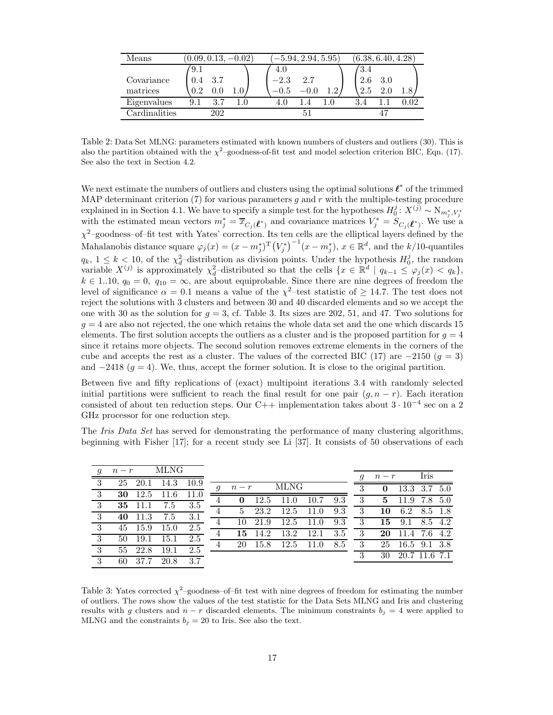| Means                  | $(0.09, 0.13, -0.02)$    | $[-5.94, 2.94, 5.95]$                 | $\left(6.38,6.40,4.28\right)$ |
|------------------------|--------------------------|---------------------------------------|-------------------------------|
| Covariance<br>matrices | 9.1<br>3.7<br>0.4<br>0.2 | 4.0<br>$^{-2.3}$<br>2.7<br>-0.5<br>19 | 3.4<br>2.6<br>3.0<br>2.5      |
| Eigenvalues            | 3.7<br>9.1               | 4.0                                   |                               |
| Cardinalities          | 202                      |                                       |                               |

Table 2: Data Set MLNG: parameters estimated with known numbers of clusters and outliers (30). This is also the partition obtained with the  $\chi^2$ -goodness-of-fit test and model selection criterion BIC, Eqn. (17). See also the text in Section 4.2.

We next estimate the numbers of outliers and clusters using the optimal solutions  $\ell^*$  of the trimmed MAP determinant criterion  $(7)$  for various parameters q and r with the multiple-testing procedure explained in in Section 4.1. We have to specify a simple test for the hypotheses  $H_0^j: X^{(j)} \sim N_{m_j^*, V_j^*}$ explained in in Section 4.1, we have to specify a simple test for the hypotheses  $H_0: X^{\infty} \cap M_{m_j^*, V_j^*}$  with the estimated mean vectors  $m_j^* = \overline{x}_{C_j(\ell^*)}$  and covariance matrices  $V_j^* = S_{C_j(\ell^*)}$ . We use a  $\chi^2$ -goodness-of-fit test with Yates' correction. Its ten cells are the elliptical layers defined by the Mahalanobis distance square  $\varphi_j(x) = (x - m_j^*)^T (V_j^*)^{-1} (x - m_j^*)$ ,  $x \in \mathbb{R}^d$ , and the k/10-quantiles  $q_k$ ,  $1 \leq k < 10$ , of the  $\chi^2_d$ -distribution as division points. Under the hypothesis  $H_0^j$ , the random variable  $X^{(j)}$  is approximately  $\chi^2_d$ -distributed so that the cells  $\{x \in \mathbb{R}^d \mid q_{k-1} \le \varphi_j(x) < q_k\},$  $k \in 1..10, q_0 = 0, q_{10} = \infty$ , are about equiprobable. Since there are nine degrees of freedom the level of significance  $\alpha = 0.1$  means a value of the  $\chi^2$ -test statistic of  $\geq 14.7$ . The test does not reject the solutions with 3 clusters and between 30 and 40 discarded elements and so we accept the one with 30 as the solution for  $g = 3$ , cf. Table 3. Its sizes are 202, 51, and 47. Two solutions for  $g = 4$  are also not rejected, the one which retains the whole data set and the one which discards 15 elements. The first solution accepts the outliers as a cluster and is the proposed partition for  $g = 4$ since it retains more objects. The second solution removes extreme elements in the corners of the cube and accepts the rest as a cluster. The values of the corrected BIC (17) are  $-2150$  ( $g = 3$ ) and  $-2418$  ( $g = 4$ ). We, thus, accept the former solution. It is close to the original partition.

Between five and fifty replications of (exact) multipoint iterations 3.4 with randomly selected initial partitions were sufficient to reach the final result for one pair  $(q, n - r)$ . Each iteration consisted of about ten reduction steps. Our C++ implementation takes about  $3 \cdot 10^{-4}$  sec on a 2 GHz processor for one reduction step.

The Iris Data Set has served for demonstrating the performance of many clustering algorithms, beginning with Fisher [17]; for a recent study see Li [37]. It consists of 50 observations of each

|                | $n-r$        | MLNG |      |                  |              |      |             |      |     | q              | $n-r$ |               | Iris    |     |
|----------------|--------------|------|------|------------------|--------------|------|-------------|------|-----|----------------|-------|---------------|---------|-----|
| -3             | 25<br>20.1   | 14.3 | 10.9 |                  |              |      |             |      |     |                |       |               |         |     |
|                |              |      |      | $\boldsymbol{q}$ | $n-r$        |      | <b>MLNG</b> |      |     | 3              | 0     | 13.3 3.7      |         | 5.0 |
| 3 <sup>3</sup> | 12.5<br>30   | 11.6 |      | 4                | $\mathbf{0}$ | 12.5 | 11.0        | 10.7 | 9.3 | 3 <sup>1</sup> | 5     | 11.9          | 7.8 5.0 |     |
| $\overline{3}$ | 35<br>- 11.1 | 7.5  | 3.5  |                  |              |      |             |      |     |                |       |               |         |     |
| 3              | 11.3<br>40   | 7.5  | 3.1  | $\overline{4}$   | 5.           | 23.2 | 12.5        | 11.0 | 9.3 | 3              | 10    | 6.2           | 8.5 1.8 |     |
|                |              |      |      | 4                | 10           | 21.9 | 12.5        | 11.0 | 9.3 | 3              | 15    | 9.1           | 8.5 4.2 |     |
| 3              | - 15.9<br>45 | 15.0 | 2.5  | 4                | 15.          | 14.2 | 13.2        | 12.1 | 3.5 | 3              | 20    | 11.4 7.6 4.2  |         |     |
| -3             | - 19.1<br>50 | 15.1 | 2.5  |                  |              |      |             |      |     |                |       |               |         |     |
| $\overline{3}$ | 22.8<br>55   | 19.1 | 2.5  |                  | 20           | 15.8 | 12.5        | 11.0 | 8.5 | -3             | 25    | 16.5 9.1 3.8  |         |     |
|                |              |      |      |                  |              |      |             |      |     | ച              | 30    | 20.7 11.6 7.1 |         |     |
| 3              | 37.<br>60    | 20.8 | 3.7  |                  |              |      |             |      |     |                |       |               |         |     |

Table 3: Yates corrected  $\chi^2$ -goodness-of-fit test with nine degrees of freedom for estimating the number of outliers. The rows show the values of the test statistic for the Data Sets MLNG and Iris and clustering results with g clusters and  $n - r$  discarded elements. The minimum constraints  $b_j = 4$  were applied to MLNG and the constraints  $b_j = 20$  to Iris. See also the text.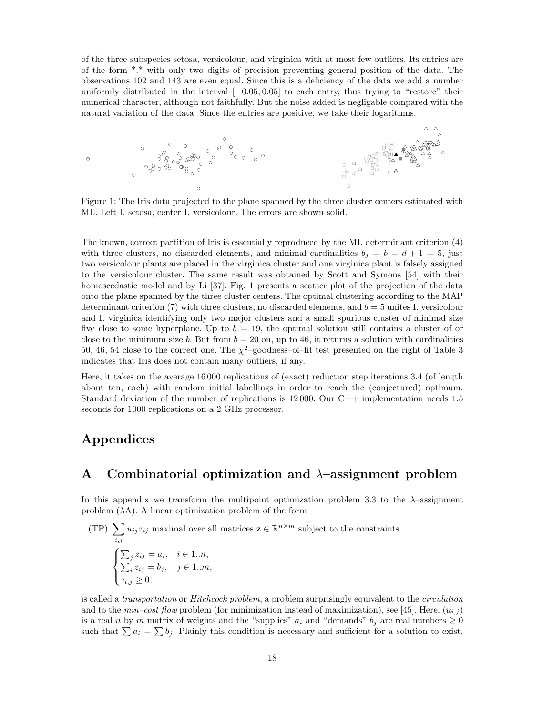of the three subspecies setosa, versicolour, and virginica with at most few outliers. Its entries are of the form \*.\* with only two digits of precision preventing general position of the data. The observations 102 and 143 are even equal. Since this is a deficiency of the data we add a number uniformly distributed in the interval [−0.05, 0.05] to each entry, thus trying to "restore" their numerical character, although not faithfully. But the noise added is negligable compared with the natural variation of the data. Since the entries are positive, we take their logarithms.



Figure 1: The Iris data projected to the plane spanned by the three cluster centers estimated with ML. Left I. setosa, center I. versicolour. The errors are shown solid.

The known, correct partition of Iris is essentially reproduced by the ML determinant criterion (4) with three clusters, no discarded elements, and minimal cardinalities  $b_j = b = d + 1 = 5$ , just two versicolour plants are placed in the virginica cluster and one virginica plant is falsely assigned to the versicolour cluster. The same result was obtained by Scott and Symons [54] with their homoscedastic model and by Li [37]. Fig. 1 presents a scatter plot of the projection of the data onto the plane spanned by the three cluster centers. The optimal clustering according to the MAP determinant criterion (7) with three clusters, no discarded elements, and  $b = 5$  unites I. versicolour and I. virginica identifying only two major clusters and a small spurious cluster of minimal size five close to some hyperplane. Up to  $b = 19$ , the optimal solution still contains a cluster of or close to the minimum size b. But from  $b = 20$  on, up to 46, it returns a solution with cardinalities 50, 46, 54 close to the correct one. The  $\chi^2$ -goodness-of-fit test presented on the right of Table 3 indicates that Iris does not contain many outliers, if any.

Here, it takes on the average 16 000 replications of (exact) reduction step iterations 3.4 (of length about ten, each) with random initial labellings in order to reach the (conjectured) optimum. Standard deviation of the number of replications is 12 000. Our C++ implementation needs 1.5 seconds for 1000 replications on a 2 GHz processor.

## Appendices

## A Combinatorial optimization and  $\lambda$ -assignment problem

In this appendix we transform the multipoint optimization problem 3.3 to the  $\lambda$ -assignment problem  $(\lambda A)$ . A linear optimization problem of the form

(TP) 
$$
\sum_{i,j} u_{ij} z_{ij}
$$
 maximal over all matrices  $\mathbf{z} \in \mathbb{R}^{n \times m}$  subject to the constraints  
\n
$$
\begin{cases}\n\sum_{j} z_{ij} = a_i, & i \in 1..n, \\
\sum_{i} z_{ij} = b_j, & j \in 1..m, \\
z_{i,j} \ge 0,\n\end{cases}
$$

is called a *transportation* or *Hitchcock problem*, a problem surprisingly equivalent to the *circulation* and to the  $min-cost$  flow problem (for minimization instead of maximization), see [45]. Here,  $(u_{i,j})$ is a real n by m matrix of weights and the "supplies"  $a_i$  and "demands"  $b_j$  are real numbers  $\geq 0$ such that  $\sum a_i = \sum b_j$ . Plainly this condition is necessary and sufficient for a solution to exist.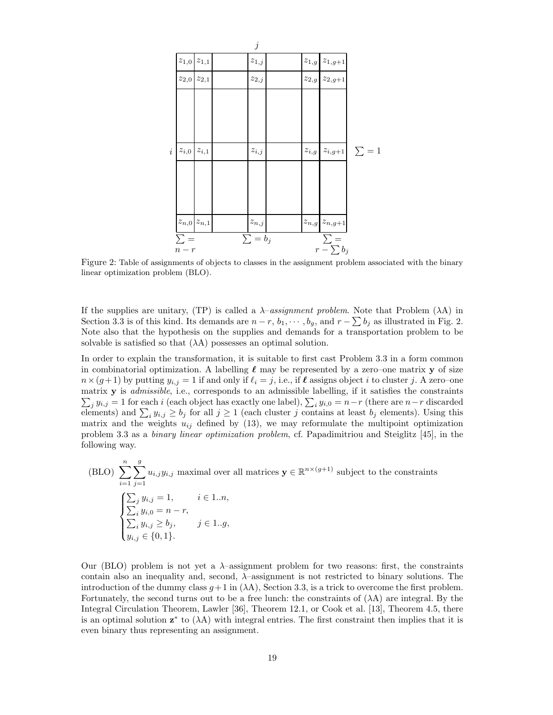

Figure 2: Table of assignments of objects to classes in the assignment problem associated with the binary linear optimization problem (BLO).

If the supplies are unitary, (TP) is called a  $\lambda$ -assignment problem. Note that Problem ( $\lambda$ A) in Section 3.3 is of this kind. Its demands are  $n-r$ ,  $b_1, \dots, b_g$ , and  $r - \sum b_j$  as illustrated in Fig. 2. Note also that the hypothesis on the supplies and demands for a transportation problem to be solvable is satisfied so that  $(\lambda A)$  possesses an optimal solution.

In order to explain the transformation, it is suitable to first cast Problem 3.3 in a form common in combinatorial optimization. A labelling  $\ell$  may be represented by a zero–one matrix y of size  $n\times (g+1)$  by putting  $y_{i,j}=1$  if and only if  $\ell_i=j$ , i.e., if  $\ell$  assigns object i to cluster j. A zero–one  $\sum_j y_{i,j} = 1$  for each i (each object has exactly one label),  $\sum_i y_{i,0} = n-r$  (there are  $n-r$  discarded matrix y is admissible, i.e., corresponds to an admissible labelling, if it satisfies the constraints elements) and  $\sum_i y_{i,j} \ge b_j$  for all  $j \ge 1$  (each cluster j contains at least  $b_j$  elements). Using this matrix and the weights  $u_{ij}$  defined by (13), we may reformulate the multipoint optimization problem 3.3 as a binary linear optimization problem, cf. Papadimitriou and Steiglitz [45], in the following way.

(BLO) 
$$
\sum_{i=1}^{n} \sum_{j=1}^{g} u_{i,j} y_{i,j}
$$
 maximal over all matrices  $\mathbf{y} \in \mathbb{R}^{n \times (g+1)}$  subject to the constraints\n
$$
\begin{cases}\n\sum_{j} y_{i,j} = 1, & i \in 1..n, \\
\sum_{i} y_{i,0} = n - r, & \sum_{i} y_{i,j} \ge b_j, & j \in 1..g, \\
y_{i,j} \in \{0,1\}.\n\end{cases}
$$

Our (BLO) problem is not yet a  $\lambda$ -assignment problem for two reasons: first, the constraints contain also an inequality and, second,  $\lambda$ -assignment is not restricted to binary solutions. The introduction of the dummy class  $g+1$  in  $(\lambda A)$ , Section 3.3, is a trick to overcome the first problem. Fortunately, the second turns out to be a free lunch: the constraints of  $(\lambda A)$  are integral. By the Integral Circulation Theorem, Lawler [36], Theorem 12.1, or Cook et al. [13], Theorem 4.5, there is an optimal solution  $z^*$  to  $(\lambda A)$  with integral entries. The first constraint then implies that it is even binary thus representing an assignment.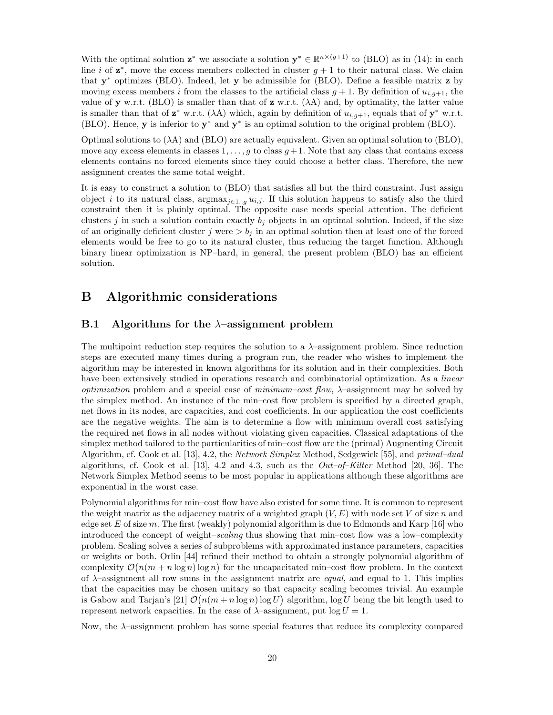With the optimal solution  $z^*$  we associate a solution  $y^* \in \mathbb{R}^{n \times (g+1)}$  to (BLO) as in (14): in each line *i* of  $z^*$ , move the excess members collected in cluster  $g + 1$  to their natural class. We claim that y <sup>∗</sup> optimizes (BLO). Indeed, let y be admissible for (BLO). Define a feasible matrix z by moving excess members i from the classes to the artificial class  $g + 1$ . By definition of  $u_{i,q+1}$ , the value of y w.r.t. (BLO) is smaller than that of  $z$  w.r.t. ( $\lambda A$ ) and, by optimality, the latter value is smaller than that of  $z^*$  w.r.t. ( $\lambda A$ ) which, again by definition of  $u_{i,g+1}$ , equals that of  $y^*$  w.r.t. (BLO). Hence,  $\mathbf{y}$  is inferior to  $\mathbf{y}^*$  and  $\mathbf{y}^*$  is an optimal solution to the original problem (BLO).

Optimal solutions to  $(\lambda A)$  and  $(BLO)$  are actually equivalent. Given an optimal solution to  $(BLO)$ , move any excess elements in classes  $1, \ldots, g$  to class  $g + 1$ . Note that any class that contains excess elements contains no forced elements since they could choose a better class. Therefore, the new assignment creates the same total weight.

It is easy to construct a solution to (BLO) that satisfies all but the third constraint. Just assign object i to its natural class,  $\arg\max_{j\in 1..g} u_{i,j}$ . If this solution happens to satisfy also the third constraint then it is plainly optimal. The opposite case needs special attention. The deficient clusters j in such a solution contain exactly  $b_i$  objects in an optimal solution. Indeed, if the size of an originally deficient cluster j were  $>b_j$  in an optimal solution then at least one of the forced elements would be free to go to its natural cluster, thus reducing the target function. Although binary linear optimization is NP–hard, in general, the present problem (BLO) has an efficient solution.

## B Algorithmic considerations

### B.1 Algorithms for the  $\lambda$ -assignment problem

The multipoint reduction step requires the solution to a  $\lambda$ -assignment problem. Since reduction steps are executed many times during a program run, the reader who wishes to implement the algorithm may be interested in known algorithms for its solution and in their complexities. Both have been extensively studied in operations research and combinatorial optimization. As a *linear optimization* problem and a special case of *minimum–cost flow*,  $\lambda$ –assignment may be solved by the simplex method. An instance of the min–cost flow problem is specified by a directed graph, net flows in its nodes, arc capacities, and cost coefficients. In our application the cost coefficients are the negative weights. The aim is to determine a flow with minimum overall cost satisfying the required net flows in all nodes without violating given capacities. Classical adaptations of the simplex method tailored to the particularities of min–cost flow are the (primal) Augmenting Circuit Algorithm, cf. Cook et al. [13], 4.2, the Network Simplex Method, Sedgewick [55], and primal–dual algorithms, cf. Cook et al. [13], 4.2 and 4.3, such as the  $Out-of-Kilter$  Method [20, 36]. The Network Simplex Method seems to be most popular in applications although these algorithms are exponential in the worst case.

Polynomial algorithms for min–cost flow have also existed for some time. It is common to represent the weight matrix as the adjacency matrix of a weighted graph  $(V, E)$  with node set V of size n and edge set E of size m. The first (weakly) polynomial algorithm is due to Edmonds and Karp [16] who introduced the concept of weight–scaling thus showing that min–cost flow was a low–complexity problem. Scaling solves a series of subproblems with approximated instance parameters, capacities or weights or both. Orlin [44] refined their method to obtain a strongly polynomial algorithm of complexity  $\mathcal{O}(n(m + n \log n) \log n)$  for the uncapacitated min-cost flow problem. In the context of  $\lambda$ -assignment all row sums in the assignment matrix are *equal*, and equal to 1. This implies that the capacities may be chosen unitary so that capacity scaling becomes trivial. An example is Gabow and Tarjan's [21]  $\mathcal{O}(n(m+n\log n)\log U)$  algorithm,  $\log U$  being the bit length used to represent network capacities. In the case of  $\lambda$ -assignment, put  $\log U = 1$ .

Now, the  $\lambda$ -assignment problem has some special features that reduce its complexity compared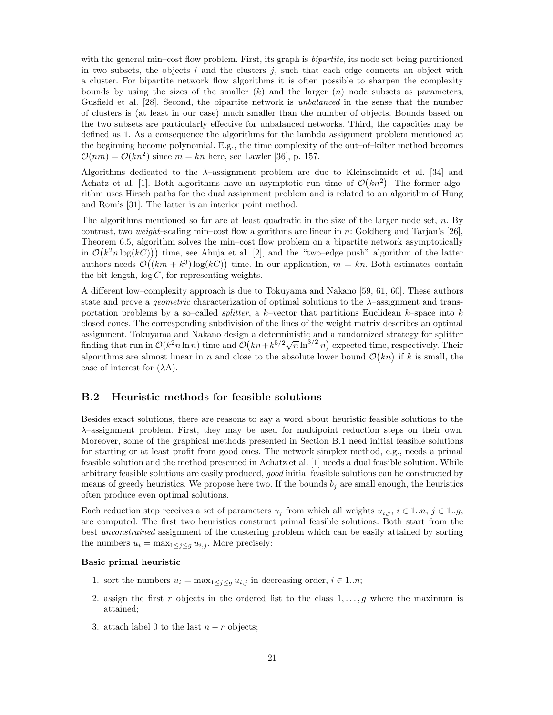with the general min–cost flow problem. First, its graph is *bipartite*, its node set being partitioned in two subsets, the objects  $i$  and the clusters  $j$ , such that each edge connects an object with a cluster. For bipartite network flow algorithms it is often possible to sharpen the complexity bounds by using the sizes of the smaller  $(k)$  and the larger  $(n)$  node subsets as parameters, Gusfield et al. [28]. Second, the bipartite network is unbalanced in the sense that the number of clusters is (at least in our case) much smaller than the number of objects. Bounds based on the two subsets are particularly effective for unbalanced networks. Third, the capacities may be defined as 1. As a consequence the algorithms for the lambda assignment problem mentioned at the beginning become polynomial. E.g., the time complexity of the out–of–kilter method becomes  $\mathcal{O}(nm) = \mathcal{O}(kn^2)$  since  $m = kn$  here, see Lawler [36], p. 157.

Algorithms dedicated to the  $\lambda$ -assignment problem are due to Kleinschmidt et al. [34] and Achatz et al. [1]. Both algorithms have an asymptotic run time of  $\mathcal{O}(kn^2)$ . The former algorithm uses Hirsch paths for the dual assignment problem and is related to an algorithm of Hung and Rom's [31]. The latter is an interior point method.

The algorithms mentioned so far are at least quadratic in the size of the larger node set, n. By contrast, two weight–scaling min–cost flow algorithms are linear in n: Goldberg and Tarjan's [26], Theorem 6.5, algorithm solves the min–cost flow problem on a bipartite network asymptotically in  $\mathcal{O}(k^2 n \log(kC))$  time, see Ahuja et al. [2], and the "two-edge push" algorithm of the latter authors needs  $\mathcal{O}((km + k^3) \log(kC))$  time. In our application,  $m = kn$ . Both estimates contain the bit length,  $log C$ , for representing weights.

A different low–complexity approach is due to Tokuyama and Nakano [59, 61, 60]. These authors state and prove a *geometric* characterization of optimal solutions to the  $\lambda$ -assignment and transportation problems by a so–called *splitter*, a k–vector that partitions Euclidean k–space into k closed cones. The corresponding subdivision of the lines of the weight matrix describes an optimal assignment. Tokuyama and Nakano design a deterministic and a randomized strategy for splitter finding that run in  $\mathcal{O}(k^2 n \ln n)$  time and  $\mathcal{O}(kn + k^{5/2}\sqrt{n} \ln^{3/2} n)$  expected time, respectively. Their algorithms are almost linear in n and close to the absolute lower bound  $\mathcal{O}(kn)$  if k is small, the case of interest for  $(\lambda A)$ .

### B.2 Heuristic methods for feasible solutions

Besides exact solutions, there are reasons to say a word about heuristic feasible solutions to the λ–assignment problem. First, they may be used for multipoint reduction steps on their own. Moreover, some of the graphical methods presented in Section B.1 need initial feasible solutions for starting or at least profit from good ones. The network simplex method, e.g., needs a primal feasible solution and the method presented in Achatz et al. [1] needs a dual feasible solution. While arbitrary feasible solutions are easily produced, good initial feasible solutions can be constructed by means of greedy heuristics. We propose here two. If the bounds  $b_i$  are small enough, the heuristics often produce even optimal solutions.

Each reduction step receives a set of parameters  $\gamma_j$  from which all weights  $u_{i,j}$ ,  $i \in 1..n$ ,  $j \in 1..g$ , are computed. The first two heuristics construct primal feasible solutions. Both start from the best *unconstrained* assignment of the clustering problem which can be easily attained by sorting the numbers  $u_i = \max_{1 \leq j \leq g} u_{i,j}$ . More precisely:

#### Basic primal heuristic

- 1. sort the numbers  $u_i = \max_{1 \leq i \leq q} u_{i,j}$  in decreasing order,  $i \in 1..n$ ;
- 2. assign the first r objects in the ordered list to the class  $1, \ldots, g$  where the maximum is attained;
- 3. attach label 0 to the last  $n r$  objects;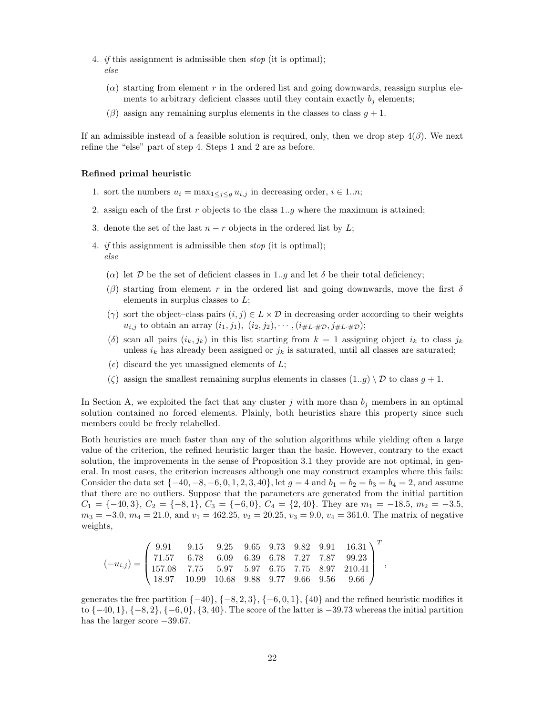- 4. *if* this assignment is admissible then  $stop$  (it is optimal); else
	- $(\alpha)$  starting from element r in the ordered list and going downwards, reassign surplus elements to arbitrary deficient classes until they contain exactly  $b_j$  elements;
	- $(\beta)$  assign any remaining surplus elements in the classes to class  $q + 1$ .

If an admissible instead of a feasible solution is required, only, then we drop step  $4(\beta)$ . We next refine the "else" part of step 4. Steps 1 and 2 are as before.

#### Refined primal heuristic

- 1. sort the numbers  $u_i = \max_{1 \leq j \leq g} u_{i,j}$  in decreasing order,  $i \in 1..n$ ;
- 2. assign each of the first r objects to the class  $1..q$  where the maximum is attained;
- 3. denote the set of the last  $n r$  objects in the ordered list by L;
- 4. *if* this assignment is admissible then *stop* (it is optimal); else
	- ( $\alpha$ ) let D be the set of deficient classes in 1..g and let  $\delta$  be their total deficiency;
	- (β) starting from element r in the ordered list and going downwards, move the first  $\delta$ elements in surplus classes to  $L$ ;
	- ( $\gamma$ ) sort the object–class pairs  $(i, j) \in L \times \mathcal{D}$  in decreasing order according to their weights  $u_{i,j}$  to obtain an array  $(i_1, j_1), (i_2, j_2), \cdots, (i_{\#L \cdot \#D}, j_{\#L \cdot \#D});$
	- (δ) scan all pairs  $(i_k, j_k)$  in this list starting from  $k = 1$  assigning object  $i_k$  to class  $j_k$ unless  $i_k$  has already been assigned or  $j_k$  is saturated, until all classes are saturated;
	- $(\epsilon)$  discard the yet unassigned elements of L;
	- ( $\zeta$ ) assign the smallest remaining surplus elements in classes  $(1..g) \setminus \mathcal{D}$  to class  $g + 1$ .

In Section A, we exploited the fact that any cluster j with more than  $b_j$  members in an optimal solution contained no forced elements. Plainly, both heuristics share this property since such members could be freely relabelled.

Both heuristics are much faster than any of the solution algorithms while yielding often a large value of the criterion, the refined heuristic larger than the basic. However, contrary to the exact solution, the improvements in the sense of Proposition 3.1 they provide are not optimal, in general. In most cases, the criterion increases although one may construct examples where this fails: Consider the data set  $\{-40, -8, -6, 0, 1, 2, 3, 40\}$ , let  $g = 4$  and  $b_1 = b_2 = b_3 = b_4 = 2$ , and assume that there are no outliers. Suppose that the parameters are generated from the initial partition  $C_1 = \{-40, 3\}, C_2 = \{-8, 1\}, C_3 = \{-6, 0\}, C_4 = \{2, 40\}.$  They are  $m_1 = -18.5, m_2 = -3.5,$  $m_3 = -3.0, m_4 = 21.0, \text{ and } v_1 = 462.25, v_2 = 20.25, v_3 = 9.0, v_4 = 361.0.$  The matrix of negative weights,

 $\overline{a}$ 

$$
(-u_{i,j}) = \begin{pmatrix} 9.91 & 9.15 & 9.25 & 9.65 & 9.73 & 9.82 & 9.91 & 16.31 \\ 71.57 & 6.78 & 6.09 & 6.39 & 6.78 & 7.27 & 7.87 & 99.23 \\ 157.08 & 7.75 & 5.97 & 5.97 & 6.75 & 7.75 & 8.97 & 210.41 \\ 18.97 & 10.99 & 10.68 & 9.88 & 9.77 & 9.66 & 9.56 & 9.66 \end{pmatrix}^T,
$$

generates the free partition  $\{-40\}, \{-8, 2, 3\}, \{-6, 0, 1\}, \{40\}$  and the refined heuristic modifies it to  $\{-40, 1\}$ ,  $\{-8, 2\}$ ,  $\{-6, 0\}$ ,  $\{3, 40\}$ . The score of the latter is −39.73 whereas the initial partition has the larger score  $-39.67$ .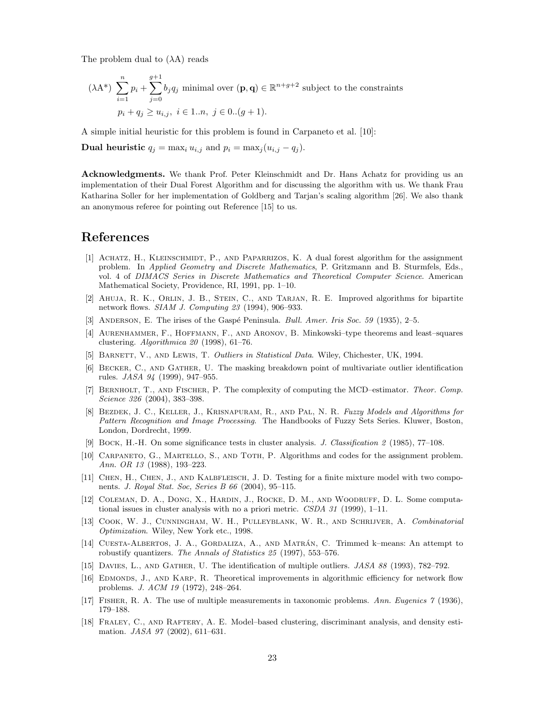The problem dual to  $(\lambda A)$  reads

$$
(\lambda \mathbf{A}^*) \sum_{i=1}^n p_i + \sum_{j=0}^{g+1} b_j q_j \text{ minimal over } (\mathbf{p}, \mathbf{q}) \in \mathbb{R}^{n+g+2} \text{ subject to the constraints}
$$
  

$$
p_i + q_j \ge u_{i,j}, \ i \in 1..n, \ j \in 0..(g+1).
$$

A simple initial heuristic for this problem is found in Carpaneto et al. [10]:

**Dual heuristic**  $q_j = \max_i u_{i,j}$  and  $p_i = \max_i (u_{i,j} - q_i)$ .

Acknowledgments. We thank Prof. Peter Kleinschmidt and Dr. Hans Achatz for providing us an implementation of their Dual Forest Algorithm and for discussing the algorithm with us. We thank Frau Katharina Soller for her implementation of Goldberg and Tarjan's scaling algorithm [26]. We also thank an anonymous referee for pointing out Reference [15] to us.

## References

- [1] Achatz, H., Kleinschmidt, P., and Paparrizos, K. A dual forest algorithm for the assignment problem. In *Applied Geometry and Discrete Mathematics*, P. Gritzmann and B. Sturmfels, Eds., vol. 4 of *DIMACS Series in Discrete Mathematics and Theoretical Computer Science*. American Mathematical Society, Providence, RI, 1991, pp. 1–10.
- [2] Ahuja, R. K., Orlin, J. B., Stein, C., and Tarjan, R. E. Improved algorithms for bipartite network flows. *SIAM J. Computing 23* (1994), 906–933.
- [3] Anderson, E. The irises of the Gasp´e Peninsula. *Bull. Amer. Iris Soc. 59* (1935), 2–5.
- [4] Aurenhammer, F., Hoffmann, F., and Aronov, B. Minkowski–type theorems and least–squares clustering. *Algorithmica 20* (1998), 61–76.
- [5] Barnett, V., and Lewis, T. *Outliers in Statistical Data*. Wiley, Chichester, UK, 1994.
- [6] Becker, C., and Gather, U. The masking breakdown point of multivariate outlier identification rules. *JASA 94* (1999), 947–955.
- [7] Bernholt, T., and Fischer, P. The complexity of computing the MCD–estimator. *Theor. Comp. Science 326* (2004), 383–398.
- [8] Bezdek, J. C., Keller, J., Krisnapuram, R., and Pal, N. R. *Fuzzy Models and Algorithms for Pattern Recognition and Image Processing*. The Handbooks of Fuzzy Sets Series. Kluwer, Boston, London, Dordrecht, 1999.
- [9] Bock, H.-H. On some significance tests in cluster analysis. *J. Classification 2* (1985), 77–108.
- [10] CARPANETO, G., MARTELLO, S., AND TOTH, P. Algorithms and codes for the assignment problem. *Ann. OR 13* (1988), 193–223.
- [11] CHEN, H., CHEN, J., AND KALBFLEISCH, J. D. Testing for a finite mixture model with two components. *J. Royal Stat. Soc, Series B 66* (2004), 95–115.
- [12] COLEMAN, D. A., DONG, X., HARDIN, J., ROCKE, D. M., AND WOODRUFF, D. L. Some computational issues in cluster analysis with no a priori metric. *CSDA 31* (1999), 1–11.
- [13] Cook, W. J., Cunningham, W. H., Pulleyblank, W. R., and Schrijver, A. *Combinatorial Optimization*. Wiley, New York etc., 1998.
- [14] CUESTA-ALBERTOS, J. A., GORDALIZA, A., AND MATRÁN, C. Trimmed k–means: An attempt to robustify quantizers. *The Annals of Statistics 25* (1997), 553–576.
- [15] Davies, L., and Gather, U. The identification of multiple outliers. *JASA 88* (1993), 782–792.
- [16] EDMONDS, J., AND KARP, R. Theoretical improvements in algorithmic efficiency for network flow problems. *J. ACM 19* (1972), 248–264.
- [17] Fisher, R. A. The use of multiple measurements in taxonomic problems. *Ann. Eugenics 7* (1936), 179–188.
- [18] FRALEY, C., AND RAFTERY, A. E. Model–based clustering, discriminant analysis, and density estimation. *JASA 97* (2002), 611–631.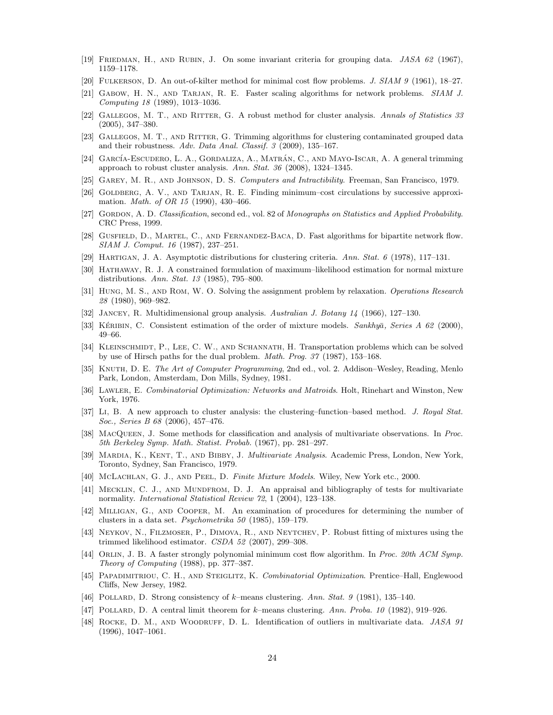- [19] Friedman, H., and Rubin, J. On some invariant criteria for grouping data. *JASA 62* (1967), 1159–1178.
- [20] Fulkerson, D. An out-of-kilter method for minimal cost flow problems. *J. SIAM 9* (1961), 18–27.
- [21] Gabow, H. N., and Tarjan, R. E. Faster scaling algorithms for network problems. *SIAM J. Computing 18* (1989), 1013–1036.
- [22] Gallegos, M. T., and Ritter, G. A robust method for cluster analysis. *Annals of Statistics 33* (2005), 347–380.
- [23] GALLEGOS, M. T., AND RITTER, G. Trimming algorithms for clustering contaminated grouped data and their robustness. *Adv. Data Anal. Classif. 3* (2009), 135–167.
- [24] GARCÍA-ESCUDERO, L. A., GORDALIZA, A., MATRÁN, C., AND MAYO-ISCAR, A. A general trimming approach to robust cluster analysis. *Ann. Stat. 36* (2008), 1324–1345.
- [25] Garey, M. R., and Johnson, D. S. *Computers and Intractibility*. Freeman, San Francisco, 1979.
- [26] GOLDBERG, A. V., AND TARJAN, R. E. Finding minimum–cost circulations by successive approximation. *Math. of OR 15* (1990), 430–466.
- [27] Gordon, A. D. *Classification*, second ed., vol. 82 of *Monographs on Statistics and Applied Probability*. CRC Press, 1999.
- [28] Gusfield, D., Martel, C., and Fernandez-Baca, D. Fast algorithms for bipartite network flow. *SIAM J. Comput. 16* (1987), 237–251.
- [29] Hartigan, J. A. Asymptotic distributions for clustering criteria. *Ann. Stat. 6* (1978), 117–131.
- [30] HATHAWAY, R. J. A constrained formulation of maximum–likelihood estimation for normal mixture distributions. *Ann. Stat. 13* (1985), 795–800.
- [31] Hung, M. S., and Rom, W. O. Solving the assignment problem by relaxation. *Operations Research 28* (1980), 969–982.
- [32] Jancey, R. Multidimensional group analysis. *Australian J. Botany 14* (1966), 127–130.
- [33] KÉRIBIN, C. Consistent estimation of the order of mixture models. *Sankhya*, *Series A 62* (2000), 49–66.
- [34] KLEINSCHMIDT, P., LEE, C. W., AND SCHANNATH, H. Transportation problems which can be solved by use of Hirsch paths for the dual problem. *Math. Prog. 37* (1987), 153–168.
- [35] Knuth, D. E. *The Art of Computer Programming*, 2nd ed., vol. 2. Addison–Wesley, Reading, Menlo Park, London, Amsterdam, Don Mills, Sydney, 1981.
- [36] Lawler, E. *Combinatorial Optimization: Networks and Matroids*. Holt, Rinehart and Winston, New York, 1976.
- [37] Li, B. A new approach to cluster analysis: the clustering–function–based method. *J. Royal Stat. Soc., Series B 68* (2006), 457–476.
- [38] MacQueen, J. Some methods for classification and analysis of multivariate observations. In *Proc. 5th Berkeley Symp. Math. Statist. Probab.* (1967), pp. 281–297.
- [39] Mardia, K., Kent, T., and Bibby, J. *Multivariate Analysis*. Academic Press, London, New York, Toronto, Sydney, San Francisco, 1979.
- [40] McLachlan, G. J., and Peel, D. *Finite Mixture Models*. Wiley, New York etc., 2000.
- [41] MECKLIN, C. J., AND MUNDFROM, D. J. An appraisal and bibliography of tests for multivariate normality. *International Statistical Review 72*, 1 (2004), 123–138.
- [42] Milligan, G., and Cooper, M. An examination of procedures for determining the number of clusters in a data set. *Psychometrika 50* (1985), 159–179.
- [43] Neykov, N., Filzmoser, P., Dimova, R., and Neytchev, P. Robust fitting of mixtures using the trimmed likelihood estimator. *CSDA 52* (2007), 299–308.
- [44] Orlin, J. B. A faster strongly polynomial minimum cost flow algorithm. In *Proc. 20th ACM Symp. Theory of Computing* (1988), pp. 377–387.
- [45] Papadimitriou, C. H., and Steiglitz, K. *Combinatorial Optimization*. Prentice–Hall, Englewood Cliffs, New Jersey, 1982.
- [46] Pollard, D. Strong consistency of k–means clustering. *Ann. Stat. 9* (1981), 135–140.
- [47] Pollard, D. A central limit theorem for k–means clustering. *Ann. Proba. 10* (1982), 919–926.
- [48] Rocke, D. M., and Woodruff, D. L. Identification of outliers in multivariate data. *JASA 91* (1996), 1047–1061.